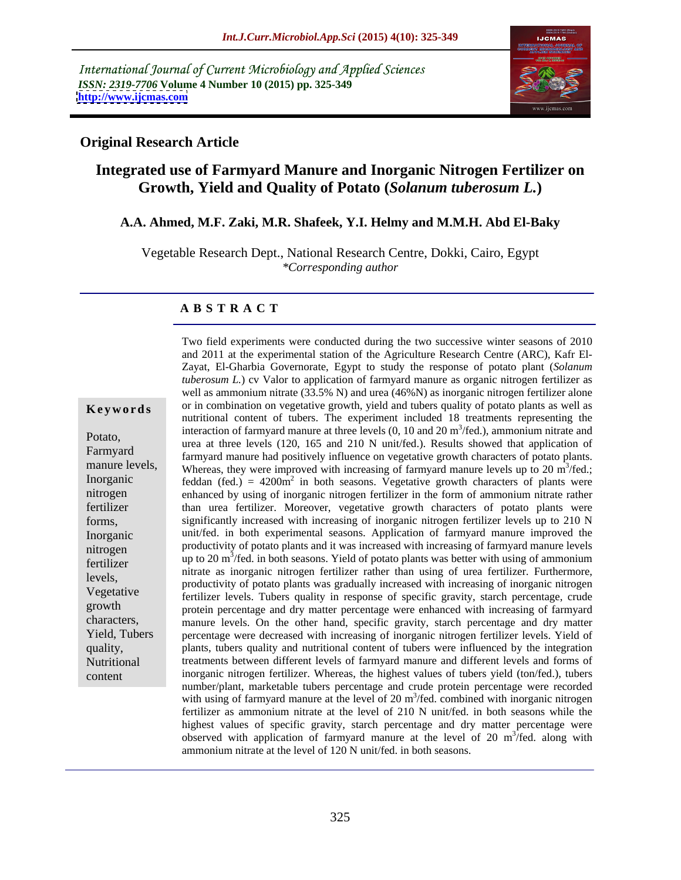International Journal of Current Microbiology and Applied Sciences *ISSN: 2319-7706* **Volume 4 Number 10 (2015) pp. 325-349 <http://www.ijcmas.com>**



# **Original Research Article**

# **Integrated use of Farmyard Manure and Inorganic Nitrogen Fertilizer on Growth, Yield and Quality of Potato (***Solanum tuberosum L.***)**

## **A.A. Ahmed, M.F. Zaki, M.R. Shafeek, Y.I. Helmy and M.M.H. Abd El-Baky**

Vegetable Research Dept., National Research Centre, Dokki, Cairo, Egypt *\*Corresponding author*

## **A B S T R A C T**

content

Two field experiments were conducted during the two successive winter seasons of 2010 and 2011 at the experimental station of the Agriculture Research Centre (ARC), Kafr El-Zayat, El-Gharbia Governorate, Egypt to study the response of potato plant (*Solanum tuberosum L.*) cv Valor to application of farmyard manure as organic nitrogen fertilizer as well as ammonium nitrate (33.5% N) and urea (46%N) as inorganic nitrogen fertilizer alone **Keywords** or in combination on vegetative growth, yield and tubers quality of potato plants as well as nutritional content of tubers. The experiment included 18 treatments representing the interaction of farmyard manure at three levels  $(0, 10$  and  $20 \text{ m}^3/\text{fed.})$ , ammonium nitrate and Potato,<br>
urea at three levels (120, 165 and 210 N unit/fed.). Results showed that application of Farmyard farmyard manure had positively influence on vegetative growth characters of potato plants. manure levels, Whereas, they were improved with increasing of farmyard manure levels up to 20 m<sup>3</sup>/fed.;  $3/\mathbf{f}_{\alpha}$ . /fed.; Inorganic feddan  $(\text{fed}) = 4200 \text{m}^2$  in both seasons. Vegetative growth characters of plants were enhanced by using of inorganic nitrogen fertilizer in the form of ammonium nitrate rather nitrogen than urea fertilizer. Moreover, vegetative growth characters of potato plants were fertilizer significantly increased with increasing of inorganic nitrogen fertilizer levels up to 210 N forms, unit/fed. in both experimental seasons. Application of farmyard manure improved the Inorganic nitrogen productivity of potato plants and it was increased with increasing of farmyard manure levels up to 20 m<sup>3</sup> /fed. in both seasons. Yield of potato plants was better with using of ammonium fertilizer nitrate as inorganic nitrogen fertilizer rather than using of urea fertilizer. Furthermore, productivity of potato plants was gradually increased with increasing of inorganic nitrogen levels, Vegetative fertilizer levels. Tubers quality in response of specific gravity, starch percentage, crude protein percentage and dry matter percentage were enhanced with increasing of farmyard characters, manure levels. On the other hand, specific gravity, starch percentage and dry matter Yield, Tubers percentage were decreased with increasing of inorganic nitrogen fertilizer levels. Yield of plants, tubers quality and nutritional content of tubers were influenced by the integration quality, Nutritional treatments between different levels of farmyard manure and different levels and forms of inorganic nitrogen fertilizer. Whereas, the highest values of tubers yield (ton/fed.), tubers number/plant, marketable tubers percentage and crude protein percentage were recorded with using of farmyard manure at the level of 20 m<sup>3</sup>/fed. combined with inorganic nitrogen fertilizer as ammonium nitrate at the level of 210 N unit/fed. in both seasons while the highest values of specific gravity, starch percentage and dry matter percentage were observed with application of farmyard manure at the level of 20 m<sup>3</sup>/fed. along with  $3/6d$  along with /fed. along with ammonium nitrate at the level of 120 N unit/fed. in both seasons.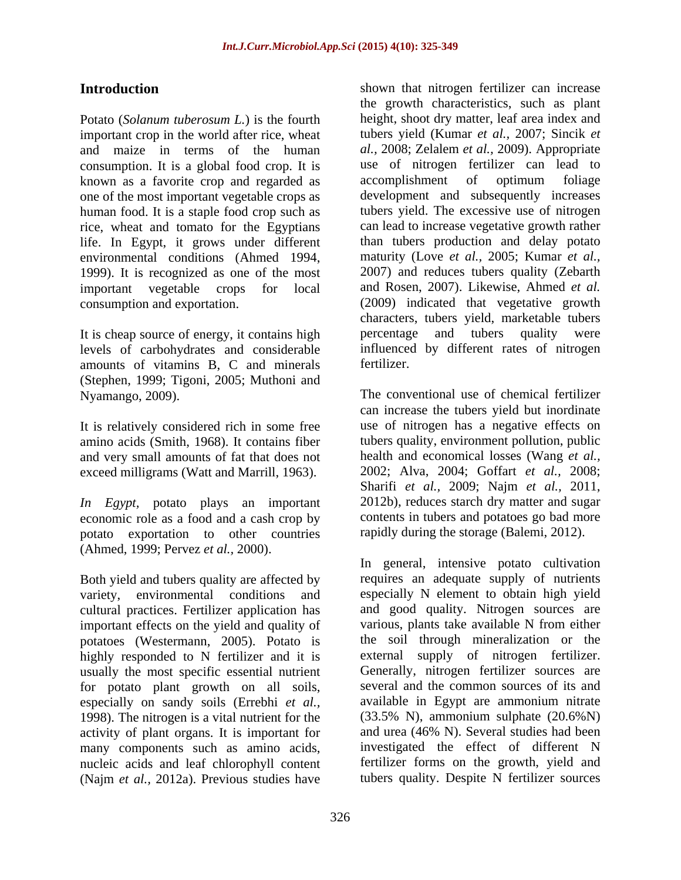important crop in the world after rice, wheat and maize in terms of the human consumption. It is a global food crop. It is use of nitrogen fer<br>known as a favorite crop and regarded as accomplishment of known as a favorite crop and regarded as one of the most important vegetable crops as human food. It is a staple food crop such as rice, wheat and tomato for the Egyptians life. In Egypt, it grows under different 1999). It is recognized as one of the most

levels of carbohydrates and considerable influenced<br>amounts of vitamins B C and minerals fertilizer. amounts of vitamins B, C and minerals (Stephen, 1999; Tigoni, 2005; Muthoni and

It is relatively considered rich in some free exceed milligrams (Watt and Marrill, 1963).

*In Egypt,* potato plays an important potato exportation to other countries (Ahmed, 1999; Pervez *et al.,* 2000).

Both yield and tubers quality are affected by cultural practices. Fertilizer application has and good quality. Nitrogen sources are important effects on the vield and quality of various, plants take available N from either important effects on the yield and quality of potatoes (Westermann, 2005). Potato is highly responded to N fertilizer and it is usually the most specific essential nutrient for potato plant growth on all soils, especially on sandy soils (Errebhi *et al.,* 1998). The nitrogen is a vital nutrient for the activity of plant organs. It is important for many components such as amino acids, nucleic acids and leaf chlorophyll content (Najm *et al.,* 2012a). Previous studies have

**Introduction** shown that nitrogen fertilizer can increase Potato (*Solanum tuberosum L*.) is the fourth height, shoot dry matter, leaf area index and environmental conditions (Ahmed 1994, maturity (Love *et al.,* 2005; Kumar *et al.,* important vegetable crops for local and Rosen, 2007). Likewise, Ahmed *et al.* consumption and exportation. (2009) indicated that vegetative growth It is cheap source of energy, it contains high percentage and tubers quality were the growth characteristics, such as plant tubers yield (Kumar *et al.,* 2007; Sincik *et al.,* 2008; Zelalem *et al.,* 2009). Appropriate use of nitrogen fertilizer can lead to accomplishment of optimum foliage development and subsequently increases tubers yield. The excessive use of nitrogen can lead to increase vegetative growth rather than tubers production and delay potato 2007) and reduces tubers quality (Zebarth characters, tubers yield, marketable tubers percentage and tubers quality were influenced by different rates of nitrogen fertilizer.

Nyamango, 2009). The conventional use of chemical fertilizer amino acids (Smith, 1968). It contains fiber tubers quality, environment pollution, public and very small amounts of fat that does not health and economical losses (Wang *et al.,* economic role as a food and a cash crop by contents in tubers and potatoes go bad more can increase the tubers yield but inordinate use of nitrogen has a negative effects on 2002; Alva, 2004; Goffart *et al.,* 2008; Sharifi *et al.,* 2009; Najm *et al.,* 2011, 2012b), reduces starch dry matter and sugar rapidly during the storage (Balemi, 2012).

variety, environmental conditions and especially N element to obtain high yield In general, intensive potato cultivation requires an adequate supply of nutrients and good quality. Nitrogen sources are various, plants take available N from either the soil through mineralization or the external supply of nitrogen fertilizer. Generally, nitrogen fertilizer sources are several and the common sources of its and available in Egypt are ammonium nitrate (33.5% N), ammonium sulphate (20.6%N) and urea (46% N). Several studies had been investigated the effect of different N fertilizer forms on the growth, yield and tubers quality. Despite N fertilizer sources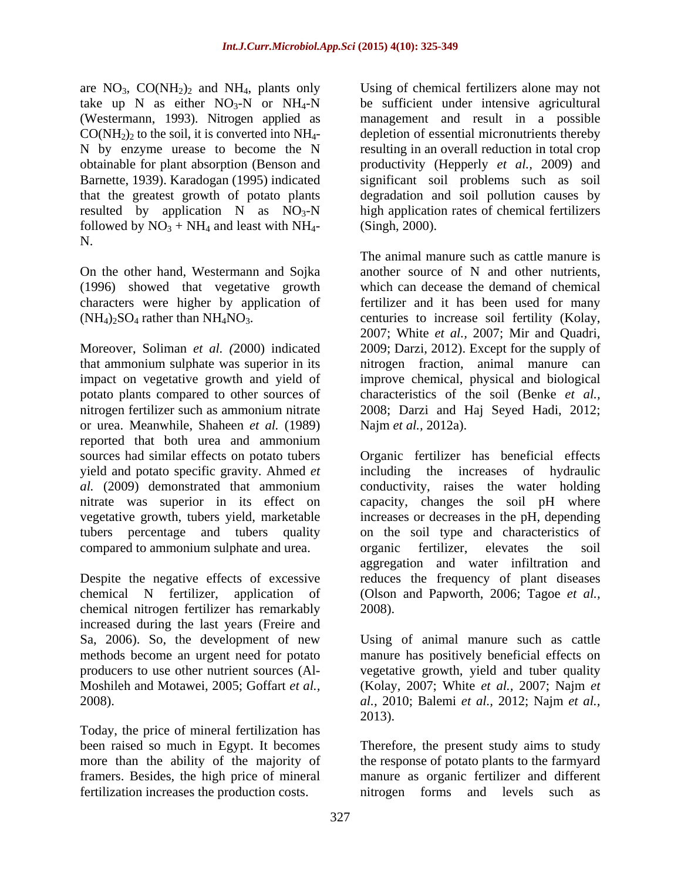are  $NO_3$ ,  $CO(NH_2)_2$  and  $NH_4$ , plants only take up N as either  $NO<sub>3</sub>-N$  or  $NH<sub>4</sub>-N$ (Westermann, 1993). Nitrogen applied as resulted by application  $N$  as  $\overline{NO_{3}-N}$ followed by  $NO_3 + NH_4$  and least with  $NH_4$ -N.

On the other hand, Westermann and Sojka (1996) showed that vegetative growth

that ammonium sulphate was superior in its nitrogen fraction, animal manure can impact on vegetative growth and yield of improve chemical, physical and biological potato plants compared to other sources of characteristics of the soil (Benke *et al.,* nitrogen fertilizer such as ammonium nitrate 2008; Darzi and Haj Seyed Hadi, 2012; or urea. Meanwhile, Shaheen *et al.*(1989) reported that both urea and ammonium vegetative growth, tubers yield, marketable compared to ammonium sulphate and urea.

chemical nitrogen fertilizer has remarkably increased during the last years (Freire and

Today, the price of mineral fertilization has fertilization increases the production costs.

 $CO(NH<sub>2</sub>)<sub>2</sub>$  to the soil, it is converted into  $NH<sub>4</sub>$ - depletion of essential micronutrients thereby N by enzyme urease to become the N resulting in an overall reduction in total crop obtainable for plant absorption (Benson and productivity (Hepperly *et al.,* 2009) and Barnette, 1939). Karadogan (1995) indicated significant soil problems such as soil that the greatest growth of potato plants degradation and soil pollution causes by Using of chemical fertilizers alone may not be sufficient under intensive agricultural management and result in a possible high application rates of chemical fertilizers (Singh, 2000).

characters were higher by application of fertilizer and it has been used for many (NH<sub>4</sub>)<sub>2</sub>SO<sub>4</sub> rather than NH<sub>4</sub>NO<sub>3</sub>. centuries to increase soil fertility (Kolay, 2007; White *et al.*, 2007; Mir and Quadri, Moreover, Soliman *et al.* (2000) indicated 2009; Darzi, 2012). Except for the supply of The animal manure such as cattle manure is another source of N and other nutrients, which can decease the demand of chemical centuries to increase soil fertility (Kolay, 2007; White *et al.,* 2007; Mir and Quadri, 2009; Darzi, 2012). Except for the supply of Najm *et al.,* 2012a).

sources had similar effects on potato tubers Organic fertilizer has beneficial effects yield and potato specific gravity. Ahmed *et*  including the increases of hydraulic *al.* (2009) demonstrated that ammonium conductivity, raises the water holding nitrate was superior in its effect on capacity, changes the soil pH where tubers percentage and tubers quality on the soil type and characteristics of Despite the negative effects of excessive reduces the frequency of plant diseases chemical N fertilizer, application of (Olson and Papworth, 2006; Tagoe *et al.,* increases or decreases in the pH, depending organic fertilizer, elevates the soil aggregation and water infiltration and 2008).

Sa, 2006). So, the development of new Using of animal manure such as cattle methods become an urgent need for potato manure has positively beneficial effects on producers to use other nutrient sources (Al- vegetative growth, yield and tuber quality Moshileh and Motawei, 2005; Goffart *et al.,* (Kolay, 2007; White *et al.,* 2007; Najm *et*  2008). *al.,* 2010; Balemi *et al.,* 2012; Najm *et al.,* 2013).

been raised so much in Egypt. It becomes Therefore, the present study aims to study more than the ability of the majority of the response of potato plants to the farmyard framers. Besides, the high price of mineral manure as organic fertilizer and different nitrogen forms and levels such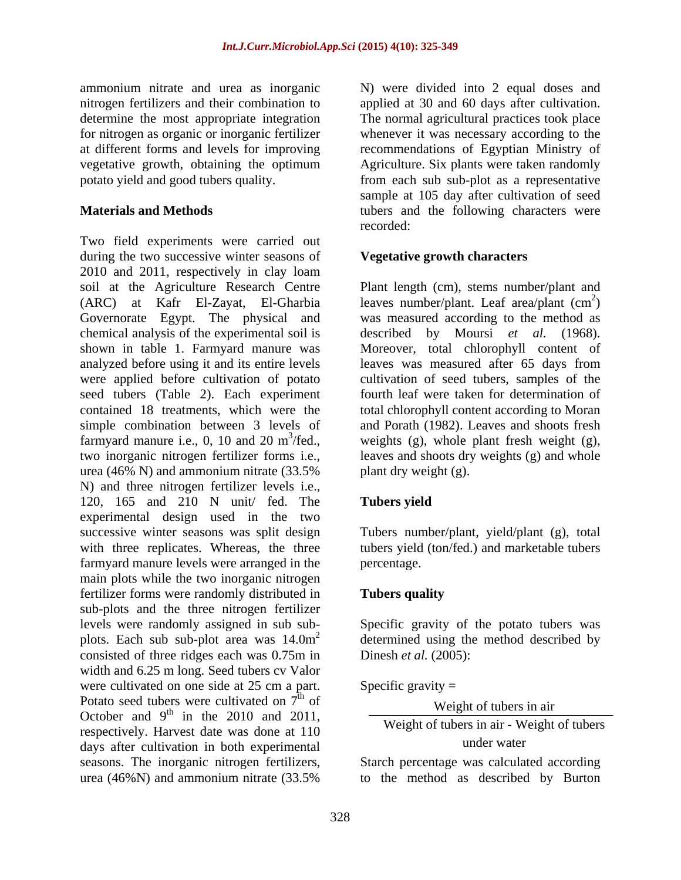determine the most appropriate integration

Two field experiments were carried out during the two successive winter seasons of 2010 and 2011, respectively in clay loam soil at the Agriculture Research Centre Plant length (cm), stems number/plant and  $(ARC)$  at Kafr El-Zayat, El-Gharbia leaves number/plant. Leaf area/plant  $(cm<sup>2</sup>)$ Governorate Egypt. The physical and was measured according to the method as chemical analysis of the experimental soil is shown in table 1. Farmyard manure was Moreover, total chlorophyll content of analyzed before using it and its entire levels leaves was measured after 65 days from were applied before cultivation of potato cultivation of seed tubers, samples of the seed tubers (Table 2). Each experiment contained 18 treatments, which were the total chlorophyll content according to Moran simple combination between 3 levels of and Porath (1982). Leaves and shoots fresh farmyard manure i.e., 0, 10 and 20 m<sup>3</sup>/fed., weights (g), whole plant fresh weight (g), two inorganic nitrogen fertilizer forms i.e., leaves and shoots dry weights (g) and whole urea (46% N) and ammonium nitrate (33.5% N) and three nitrogen fertilizer levels i.e., 120, 165 and 210 N unit/ fed. The Tubers vield experimental design used in the two successive winter seasons was split design Tubers number/plant, yield/plant (g), total with three replicates. Whereas, the three tubers yield (ton/fed.) and marketable tubers farmyard manure levels were arranged in the main plots while the two inorganic nitrogen fertilizer forms were randomly distributed in sub-plots and the three nitrogen fertilizer levels were randomly assigned in sub sub- Specific gravity of the potato tubers was plots. Each sub sub-plot area was  $14.0m^2$  determined using the method described by consisted of three ridges each was 0.75m in width and 6.25 m long. Seed tubers cv Valor<br>were cultivated on one side at 25 cm a part. were cultivated on one side at 25 cm a part. Specific gravity = Potato seed tubers were cultivated on  $7^{\text{th}}$  of October and  $9^{\text{th}}$  in the 2010 and 2011,  $\frac{\text{Weight of interest in air}}{\text{Weight of the year in air. Which of the bar}}$ respectively. Harvest date was done at 110 days after cultivation in both experimental seasons. The inorganic nitrogen fertilizers, Starch percentage was calculated according urea (46%N) and ammonium nitrate (33.5%

ammonium nitrate and urea as inorganic N) were divided into 2 equal doses and nitrogen fertilizers and their combination to applied at 30 and 60 days after cultivation. for nitrogen as organic or inorganic fertilizer whenever it was necessary according to the at different forms and levels for improving recommendations of Egyptian Ministry of vegetative growth, obtaining the optimum Agriculture. Six plants were taken randomly potato yield and good tubers quality. from each sub sub-plot as a representative **Materials and Methods Example 20** tubers and the following characters were The normal agricultural practices took place sample at 105 day after cultivation of seed recorded: when the contract of the contract of the contract of the contract of the contract of the contract of the contract of the contract of the contract of the contract of the contract of the contract of the contract of

# **Vegetative growth characters**

 $2\sqrt{2}$  $)$ described by Moursi *et al.* (1968). fourth leaf were taken for determination of plant dry weight (g).

# **Tubers yield**

percentage.

# **Tubers quality**

Dinesh *et al.* (2005):

Specific gravity  $=$ 

 $\mathbf{t}$  the  $\mathbf{t}$ of Weight of tubers in air Weight of tubers in air

Weight of tubers in air - Weight of tubers under water

to the method as described by Burton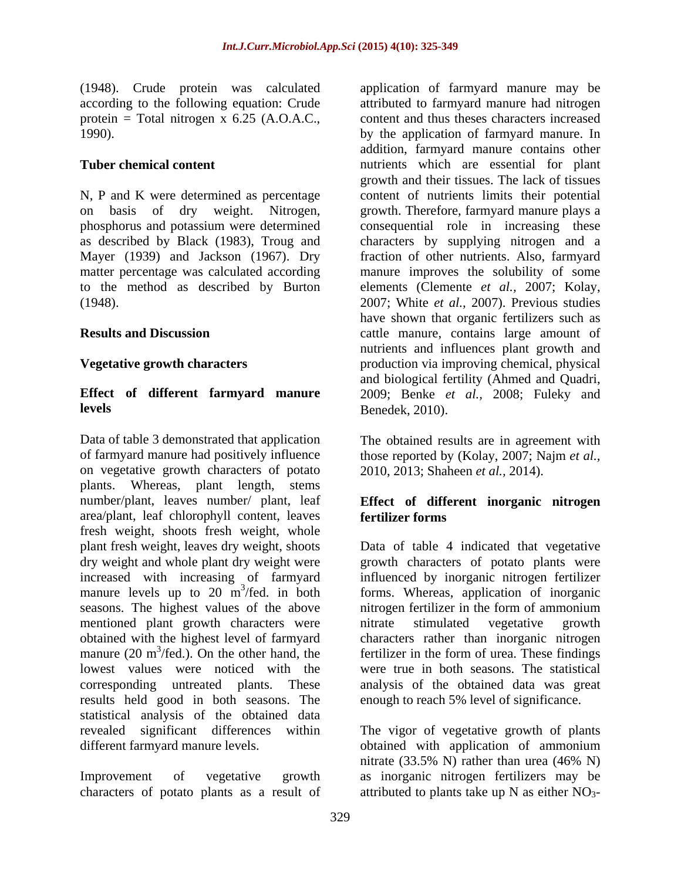(1948). Crude protein was calculated protein = Total nitrogen  $x$  6.25 (A.O.A.C.,

N, P and K were determined as percentage phosphorus and potassium were determined Mayer (1939) and Jackson (1967). Dry

Data of table 3 demonstrated that application of farmyard manure had positively influence those reported by (Kolay, 2007; Najm *et al.,* on vegetative growth characters of potato plants. Whereas, plant length, stems number/plant, leaves number/ plant, leaf **Effect of different inorganic nitrogen** area/plant, leaf chlorophyll content, leaves fresh weight, shoots fresh weight, whole<br>plant fresh weight, leaves dry weight, shoots plant fresh weight, leaves dry weight, shoots Data of table 4 indicated that vegetative dry weight and whole plant dry weight were growth characters of potato plants were increased with increasing of farmyard influenced by inorganic nitrogen fertilizer manure levels up to 20 m<sup>3</sup>/fed. in both forms. Whereas, application of inorganic seasons. The highest values of the above introgen fertilizer in the form of ammonium mentioned plant growth characters were mitrate stimulated vegetative growth obtained with the highest level of farmyard characters rather than inorganic nitrogen manure  $(20 \text{ m}^3/\text{fed.})$ . On the other hand, the fertilizer in the form of urea. These findings lowest values were noticed with the were true in both seasons. The statistical corresponding untreated plants. These analysis of the obtained data was great results held good in both seasons. The statistical analysis of the obtained data revealed significant differences within The vigor of vegetative growth of plants different farmyard manure levels. obtained with application of ammonium

characters of potato plants as a result of attributed to plants take up N as either  $NO<sub>3</sub>$ -

according to the following equation: Crude attributed to farmyard manure had nitrogen 1990). by the application of farmyard manure. In **Tuber chemical content** nutrients which are essential for plant on basis of dry weight. Nitrogen, growth. Therefore, farmyard manure plays a as described by Black (1983), Troug and characters by supplying nitrogen and a matter percentage was calculated according manure improves the solubility of some to the method as described by Burton elements (Clemente *et al.,* 2007; Kolay, (1948). 2007; White *et al.,* 2007). Previous studies **Results and Discussion**  cattle manure, contains large amount of **Vegetative growth characters** production via improving chemical, physical **Effect of different farmyard manure** 2009; Benke *et al.,* 2008; Fuleky and **levels** Benedek, 2010). application of farmyard manure may be content and thus theses characters increased addition, farmyard manure contains other growth and their tissues. The lack of tissues content of nutrients limits their potential consequential role in increasing these fraction of other nutrients. Also, farmyard have shown that organic fertilizers such as nutrients and influences plant growth and and biological fertility (Ahmed and Quadri, Benedek, 2010).

> The obtained results are in agreement with 2010, 2013; Shaheen *et al.,* 2014).

# **fertilizer forms**

nitrogen fertilizer in the form of ammonium nitrate stimulated vegetative growth enough to reach 5% level of significance.

Improvement of vegetative growth as inorganic nitrogen fertilizers may be nitrate (33.5% N) rather than urea (46% N)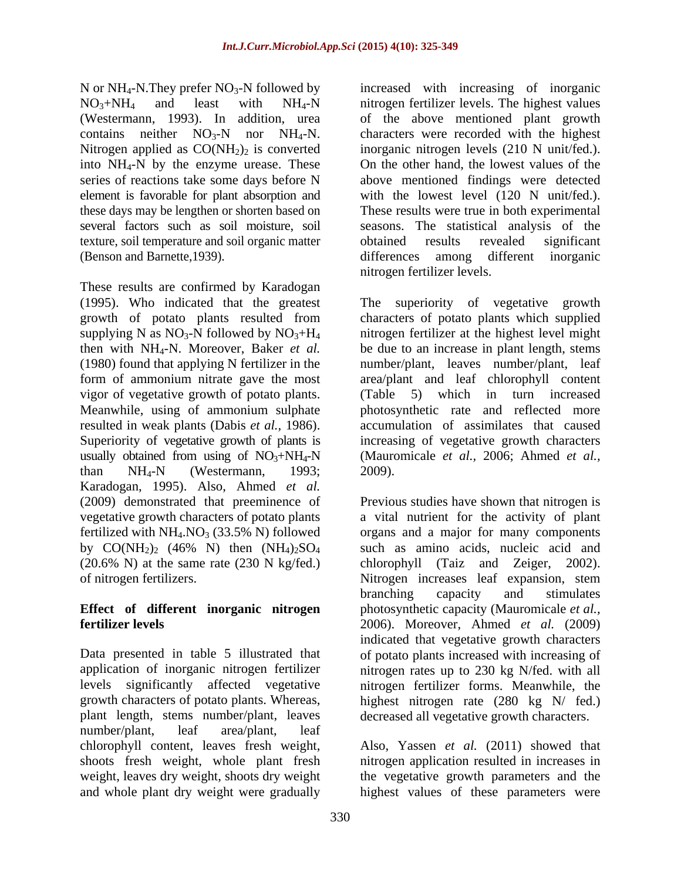Nitrogen applied as  $CO(NH<sub>2</sub>)<sub>2</sub>$  is converted texture, soil temperature and soil organic matter

These results are confirmed by Karadogan vigor of vegetative growth of potato plants. (Table 5) which in turn increased resulted in weak plants (Dabis *et al.,* 1986). than  $NH_4-N$  (Westermann, 1993; 2009). Karadogan, 1995). Also, Ahmed *et al.* by  $CO(NH_2)_2$  (46% N) then  $(NH_4)_2SO_4$ <br>(20.6% N) at the same rate (230 N kg/fed.)

plant length, stems number/plant, leaves decreased all vegetative growth characters. number/plant, leaf area/plant, leaf chlorophyll content, leaves fresh weight, Also, Yassen *et al.* (2011) showed that shoots fresh weight, whole plant fresh nitrogen application resulted in increases in weight, leaves dry weight, shoots dry weight the vegetative growth parameters and the and whole plant dry weight were gradually highest values of these parameters were

N or  $NH_4$ -N. They prefer  $NO_3$ -N followed by increased with increasing of inorganic  $NO<sub>3</sub>+NH<sub>4</sub>$  and least with  $NH<sub>4</sub>-N$  nitrogen fertilizer levels. The highest values (Westermann, 1993). In addition, urea of the above mentioned plant growth contains neither  $NO_3-N$  nor  $NH_4-N$ . characters were recorded with the highest into NH4-N by the enzyme urease. These On the other hand, the lowest values of the series of reactions take some days before N above mentioned findings were detected element is favorable for plant absorption and with the lowest level (120 N unit/fed.). these days may be lengthen or shorten based on These results were true in both experimental several factors such as soil moisture, soil seasons. The statistical analysis of the (Benson and Barnette,1939). differences among different inorganic inorganic nitrogen levels (210 N unit/fed.). obtained results revealed significant nitrogen fertilizer levels.

(1995). Who indicated that the greatest The superiority of vegetative growth growth of potato plants resulted from characters of potato plants which supplied supplying N as  $NO_3$ -N followed by  $NO_3 + H_4$  introgen fertilizer at the highest level might then with NH4-N. Moreover, Baker *et al.* be due to an increase in plant length, stems (1980) found that applying N fertilizer in the number/plant, leaves number/plant, leaf form of ammonium nitrate gave the most area/plant and leaf chlorophyll content Meanwhile, using of ammonium sulphate photosynthetic rate and reflected more Superiority of vegetative growth of plants is increasing of vegetative growth characters usually obtained from using of  $NO_3+NH_4-N$  (Mauromicale *et al., 2006; Ahmed <i>et al.,* (Table 5) which in turn increased accumulation of assimilates that caused 2009).

(2009) demonstrated that preeminence of Previous studies have shown that nitrogen is vegetative growth characters of potato plants a vital nutrient for the activity of plant fertilized with  $NH_4.NO_3$  (33.5% N) followed organs and a major for many components (20.6% N) at the same rate (230 N kg/fed.) chlorophyll (Taiz and Zeiger, 2002). of nitrogen fertilizers. Nitrogen increases leaf expansion, stem **Effect of different inorganic nitrogen** photosynthetic capacity (Mauromicale *et al.,* **fertilizer levels** 2006). Moreover, Ahmed *et al.* (2009) Data presented in table 5 illustrated that of potato plants increased with increasing of application of inorganic nitrogen fertilizer nitrogen rates up to 230 kg N/fed. with all levels significantly affected vegetative nitrogen fertilizer forms. Meanwhile, the growth characters of potato plants. Whereas, highest nitrogen rate (280 kg N/ fed.) such as amino acids, nucleic acid and branching capacity and stimulates indicated that vegetative growth characters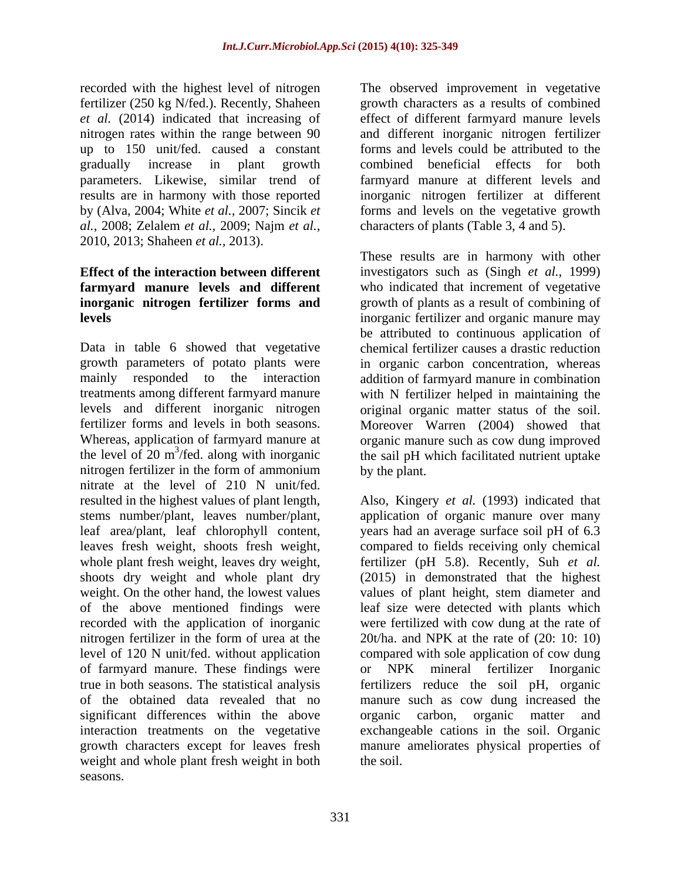recorded with the highest level of nitrogen The observed improvement in vegetative fertilizer (250 kg N/fed.). Recently, Shaheen *et al.* (2014) indicated that increasing of effect of different farmyard manure levels nitrogen rates within the range between 90 and different inorganic nitrogen fertilizer up to 150 unit/fed. caused a constant gradually increase in plant growth combined beneficial effects for both parameters. Likewise, similar trend of farmyard manure at different levels and results are in harmony with those reported inorganic nitrogen fertilizer at different by (Alva, 2004; White *et al.,* 2007; Sincik *et*  forms and levels on the vegetative growth *al.,* 2008; Zelalem *et al.,* 2009; Najm *et al.,* 2010, 2013; Shaheen *et al.,* 2013).

Data in table 6 showed that vegetative growth parameters of potato plants were in organic carbon concentration, whereas mainly responded to the interaction addition of farmyard manure in combination treatments among different farmyard manure with N fertilizer helped in maintaining the levels and different inorganic nitrogen original organic matter status of the soil. fertilizer forms and levels in both seasons. Moreover Warren (2004) showed that Whereas, application of farmyard manure at organic manure such as cow dung improved the level of 20 m<sup>3</sup>/fed. along with inorganic the sail pH which facilitated nutrient uptake nitrogen fertilizer in the form of ammonium by the plant. nitrate at the level of 210 N unit/fed. resulted in the highest values of plant length, Also, Kingery *et al.* (1993) indicated that stems number/plant, leaves number/plant, leaf area/plant, leaf chlorophyll content, years had an average surface soil pH of 6.3 leaves fresh weight, shoots fresh weight, compared to fields receiving only chemical whole plant fresh weight, leaves dry weight, fertilizer (pH 5.8). Recently, Suh *et al.* shoots dry weight and whole plant dry (2015) in demonstrated that the highest weight. On the other hand, the lowest values values of plant height, stem diameter and of the above mentioned findings were leaf size were detected with plants which recorded with the application of inorganic nitrogen fertilizer in the form of urea at the level of 120 N unit/fed. without application compared with sole application of cow dung of farmyard manure. These findings were true in both seasons. The statistical analysis fertilizers reduce the soil pH, organic of the obtained data revealed that no manure such as cow dung increased the significant differences within the above organic carbon, organic matter and interaction treatments on the vegetative exchangeable cations in the soil. Organic growth characters except for leaves fresh manure ameliorates physical properties of weight and whole plant fresh weight in both seasons.

growth characters as a results of combined forms and levels could be attributed to the characters of plants (Table 3, 4 and 5).

**Effect of the interaction between different** investigators such as (Singh *et al.,* 1999) **farmyard manure levels and different** who indicated that increment of vegetative **inorganic nitrogen fertilizer forms and** growth of plants as a result of combining of **levels** inorganic fertilizer and organic manure may These results are in harmony with other be attributed to continuous application of chemical fertilizer causes a drastic reduction by the plant.

> application of organic manure over many were fertilized with cow dung at the rate of 20t/ha. and NPK at the rate of (20: 10: 10) NPK mineral fertilizer Inorganic organic carbon, organic matter and the soil.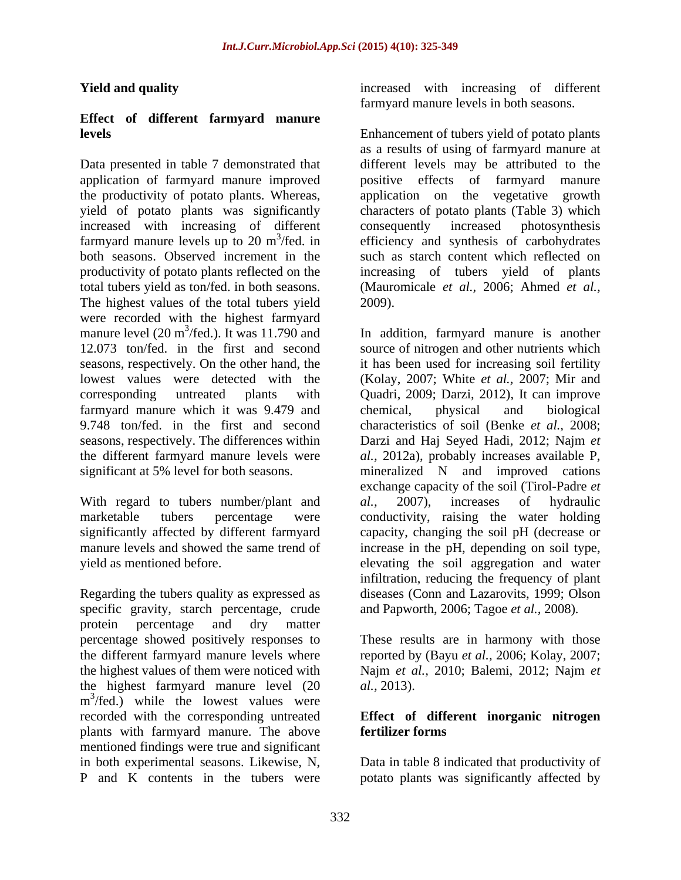# **Effect of different farmyard manure**

Data presented in table 7 demonstrated that application of farmyard manure improved the productivity of potato plants. Whereas, application on the vegetative growth yield of potato plants was significantly characters of potato plants (Table 3) which yield of potato plants was significantly characters of potato plants (Table 3) which increased with increasing of different consequently increased photosynthesis farmyard manure levels up to  $20 \text{ m}^3/\text{fed}$ . in efficiency and synthesis of carbohydrates farmyard manure levels up to 20 m<sup>3</sup>/fed. in efficiency and synthesis of carbohydrates both seasons. Observed increment in the productivity of potato plants reflected on the increasing of tubers yield of plants total tubers yield as ton/fed. in both seasons. The highest values of the total tubers yield 2009). were recorded with the highest farmyard manure level  $(20 \text{ m}^3/\text{fed.})$ . It was 11.790 and In addition, farmyard manure is another 12.073 ton/fed. in the first and second source of nitrogen and other nutrients which seasons, respectively. On the other hand, the it has been used for increasing soil fertility lowest values were detected with the (Kolay, 2007; White *et al.,* 2007; Mir and corresponding untreated plants with Quadri, 2009; Darzi, 2012), It can improve farmyard manure which it was 9.479 and chemical, physical and biological 9.748 ton/fed. in the first and second characteristics of soil (Benke *et al.,* 2008; seasons, respectively. The differences within Darzi and Haj Seyed Hadi, 2012; Najm *et*  the different farmyard manure levels were *al.,* 2012a), probably increases available P, significant at 5% level for both seasons. mineralized N and improved cations

With regard to tubers number/plant and al., 2007), increases of hydraulic

Regarding the tubers quality as expressed as specific gravity, starch percentage, crude protein percentage and dry matter percentage showed positively responses to These results are in harmony with those the different farmyard manure levels where reported by (Bayu *et al.,* 2006; Kolay, 2007; the highest values of them were noticed with Najm *et al.,* 2010; Balemi, 2012; Najm *et*  the highest farmyard manure level (20 *al.*, 2013).  $m^3$ /fed.) while the lowest values were recorded with the corresponding untreated plants with farmyard manure. The above mentioned findings were true and significant in both experimental seasons. Likewise, N, Data in table 8 indicated that productivity of

**Yield and quality increased** with increasing of different farmyard manure levels in both seasons.

**levels** Enhancement of tubers yield of potato plants as a results of using of farmyard manure at different levels may be attributed to the positive effects of farmyard application on the vegetative growth consequently increased photosynthesis such as starch content which reflected on (Mauromicale *et al.,* 2006; Ahmed *et al.,* 2009).

marketable tubers percentage were conductivity, raising the water holding significantly affected by different farmyard capacity, changing the soil pH (decrease or manure levels and showed the same trend of increase in the pH, depending on soil type, yield as mentioned before. elevating the soil aggregation and water chemical, physical and biological exchange capacity of the soil (Tirol-Padre *et al.,* 2007), increases of hydraulic infiltration, reducing the frequency of plant diseases (Conn and Lazarovits, 1999; Olson and Papworth, 2006; Tagoe *et al.,* 2008)*.* 

*al.,* 2013).

# **Effect of different inorganic nitrogen fertilizer forms**

P and K contents in the tubers were potato plants was significantly affected by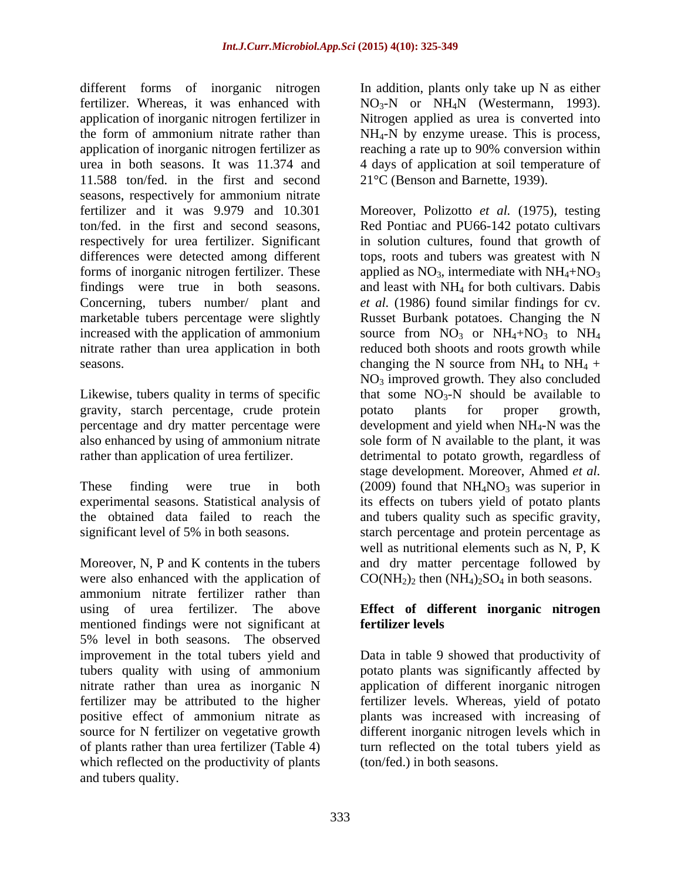different forms of inorganic nitrogen fertilizer. Whereas, it was enhanced with  $NO_3-N$  or  $NH_4N$  (Westermann, 1993). application of inorganic nitrogen fertilizer in Nitrogen applied as urea is converted into the form of ammonium nitrate rather than NH4-N by enzyme urease. This is process, application of inorganic nitrogen fertilizer as urea in both seasons. It was 11.374 and 4 days of application at soil temperature of 11.588 ton/fed. in the first and second seasons, respectively for ammonium nitrate findings were true in both seasons.

gravity, starch percentage, crude protein also enhanced by using of ammonium nitrate

ammonium nitrate fertilizer rather than using of urea fertilizer. The above **Effect of different inorganic nitrogen**  mentioned findings were not significant at 5% level in both seasons. The observed improvement in the total tubers yield and Data in table 9 showed that productivity of tubers quality with using of ammonium potato plants was significantly affected by nitrate rather than urea as inorganic N application of different inorganic nitrogen fertilizer may be attributed to the higher fertilizer levels. Whereas, yield of potato positive effect of ammonium nitrate as plants was increased with increasing of source for N fertilizer on vegetative growth different inorganic nitrogen levels which in of plants rather than urea fertilizer (Table 4) turn reflected on the total tubers yield as which reflected on the productivity of plants and tubers quality.

In addition, plants only take up N as either reaching a rate up to 90% conversion within 21°C (Benson and Barnette, 1939).

fertilizer and it was 9.979 and 10.301 Moreover, Polizotto *et al.* (1975), testing ton/fed. in the first and second seasons, Red Pontiac and PU66-142 potato cultivars respectively for urea fertilizer. Significant in solution cultures, found that growth of differences were detected among different tops, roots and tubers was greatest with N forms of inorganic nitrogen fertilizer. These  $\qquad$  applied as NO<sub>3</sub>, intermediate with NH<sub>4</sub>+NO<sub>3</sub> Concerning, tubers number/ plant and *et al.* (1986) found similar findings for cv. marketable tubers percentage were slightly Russet Burbank potatoes. Changing the N increased with the application of ammonium source from  $NO_3$  or  $NH_4+NO_3$  to  $NH_4$ nitrate rather than urea application in both reduced both shoots and roots growth while seasons.  $\Box$  changing the N source from NH<sub>4</sub> to NH<sub>4</sub> + Likewise, tubers quality in terms of specific  $\qquad$  that some  $NO_3-N$  should be available to percentage and dry matter percentage were development and yield when NH<sub>4</sub>-N was the rather than application of urea fertilizer. detrimental to potato growth, regardless of These finding were true in both  $(2009)$  found that  $NH<sub>4</sub>NO<sub>3</sub>$  was superior in experimental seasons. Statistical analysis of its effects on tubers yield of potato plants the obtained data failed to reach the and tubers quality such as specific gravity, significant level of 5% in both seasons. starch percentage and protein percentage as Moreover, N, P and K contents in the tubers and dry matter percentage followed by were also enhanced with the application of  $CO(NH_2)_2$  then  $(NH_4)_2SO_4$  in both seasons. and least with NH4 for both cultivars. Dabis NO3 improved growth. They also concluded potato plants for proper growth, sole form of N available to the plant, it was stage development. Moreover, Ahmed *et al.* well as nutritional elements such as N, P, K

# **fertilizer levels**

(ton/fed.) in both seasons.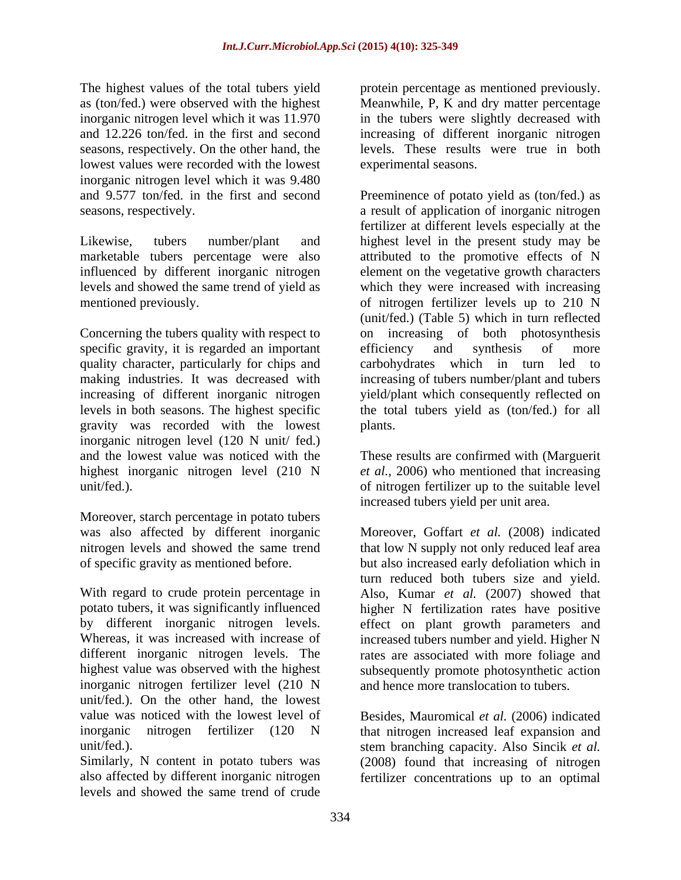The highest values of the total tubers yield protein percentage as mentioned previously. as (ton/fed.) were observed with the highest Meanwhile, P, K and dry matter percentage inorganic nitrogen level which it was 11.970 in the tubers were slightly decreased with and 12.226 ton/fed. in the first and second increasing of different inorganic nitrogen seasons, respectively. On the other hand, the lowest values were recorded with the lowest inorganic nitrogen level which it was 9.480

Concerning the tubers quality with respect to specific gravity, it is regarded an important efficiency and synthesis of more gravity was recorded with the lowest inorganic nitrogen level (120 N unit/ fed.) and the lowest value was noticed with the These results are confirmed with (Marguerit highest inorganic nitrogen level (210 N unit/fed.). of nitrogen fertilizer up to the suitable level

Moreover, starch percentage in potato tubers

With regard to crude protein percentage in Also, Kumar *et al.* (2007) showed that potato tubers, it was significantly influenced higher N fertilization rates have positive by different inorganic nitrogen levels. effect on plant growth parameters and Whereas, it was increased with increase of increased tubers number and yield. Higher N different inorganic nitrogen levels. The rates are associated with more foliage and highest value was observed with the highest inorganic nitrogen fertilizer level (210 N unit/fed.). On the other hand, the lowest value was noticed with the lowest level of inorganic nitrogen fertilizer (120 N that nitrogen increased leaf expansion and

Similarly, N content in potato tubers was (2008) found that increasing of nitrogen also affected by different inorganic nitrogen fertilizer concentrations up to an optimal levels and showed the same trend of crude

levels. These results were true in both experimental seasons.

and 9.577 ton/fed. in the first and second Preeminence of potato yield as (ton/fed.) as seasons, respectively. a result of application of inorganic nitrogen Likewise, tubers number/plant and highest level in the present study may be marketable tubers percentage were also attributed to the promotive effects of N influenced by different inorganic nitrogen element on the vegetative growth characters levels and showed the same trend of yield as which they were increased with increasing mentioned previously. of nitrogen fertilizer levels up to 210 N quality character, particularly for chips and carbohydrates which in turn led to making industries. It was decreased with increasing of tubers number/plant and tubers increasing of different inorganic nitrogen yield/plant which consequently reflected on levels in both seasons. The highest specific the total tubers yield as (ton/fed.) for all fertilizer at different levels especially at the (unit/fed.) (Table 5) which in turn reflected on increasing of both photosynthesis efficiency and synthesis of more plants.

> *et al.,* 2006) who mentioned that increasing increased tubers yield per unit area.

was also affected by different inorganic Moreover, Goffart *et al.* (2008) indicated nitrogen levels and showed the same trend that low N supply not only reduced leaf area of specific gravity as mentioned before. but also increased early defoliation which in turn reduced both tubers size and yield. subsequently promote photosynthetic action and hence more translocation to tubers.

unit/fed.). stem branching capacity. Also Sincik *et al.* Besides, Mauromical *et al.* (2006) indicated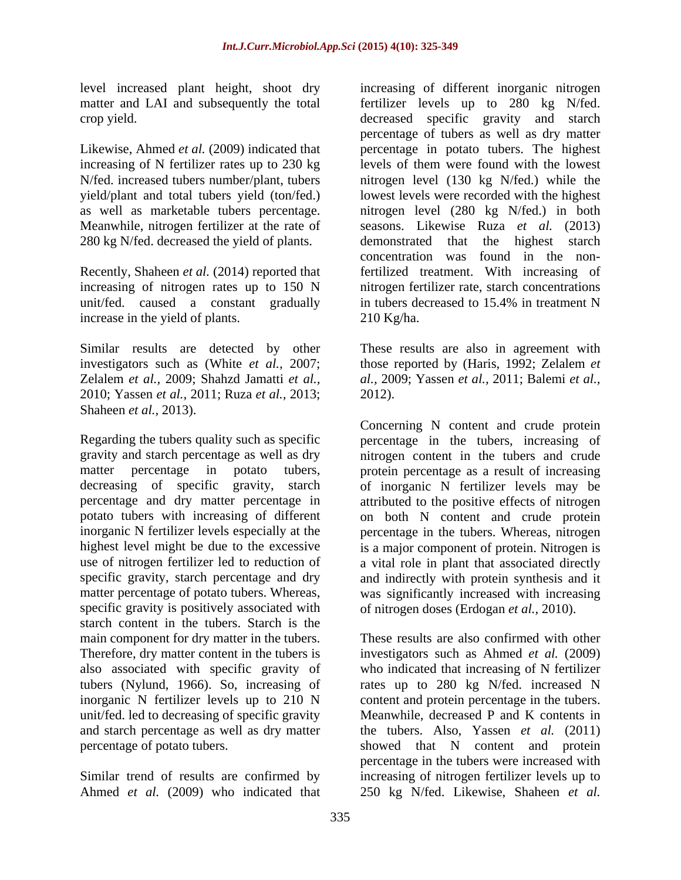level increased plant height, shoot dry

increasing of N fertilizer rates up to 230 kg Meanwhile, nitrogen fertilizer at the rate of 280 kg N/fed. decreased the yield of plants. demonstrated that the highest starch

Recently, Shaheen *et al.* (2014) reported that unit/fed. caused a constant gradually in tubers decreased to 15.4% in treatment N increase in the yield of plants. 210 Kg/ha.

2010; Yassen *et al.,* 2011; Ruza *et al.,* 2013;

specific gravity is positively associated with of nitrogen doses (Erdogan *et al.,* 2010). starch content in the tubers. Starch is the main component for dry matter in the tubers.

Ahmed *et al.* (2009) who indicated that 250 kg N/fed. Likewise, Shaheen *et al.*

matter and LAI and subsequently the total fertilizer levels up to 280 kg N/fed. crop yield. decreased specific gravity and starch Likewise, Ahmed *et al.* (2009) indicated that **percentage** in potato tubers. The highest N/fed. increased tubers number/plant, tubers nitrogen level (130 kg N/fed.) while the yield/plant and total tubers yield (ton/fed.) lowest levels were recorded with the highest as well as marketable tubers percentage. nitrogen level (280 kg N/fed.) in both increasing of nitrogen rates up to 150 N nitrogen fertilizer rate, starch concentrations increasing of different inorganic nitrogen percentage of tubers as well as dry matter levels of them were found with the lowest seasons. Likewise Ruza *et al.* (2013) demonstrated that the highest starch concentration was found in the nonfertilized treatment. With increasing of in tubers decreased to 15.4% in treatment N  $210$  Kg/ha.

Similar results are detected by other These results are also in agreement with investigators such as (White *et al.,* 2007; those reported by (Haris, 1992; Zelalem *et*  Zelalem *et al.,* 2009; Shahzd Jamatti *et al., al.,* 2009; Yassen *et al.,* 2011; Balemi *et al.,* 2012).

Shaheen *et al.*, 2013).<br>
Concerning N content and crude protein<br>
Regarding the tubers quality such as specific percentage in the tubers, increasing of gravity and starch percentage as well as dry nitrogen content in the tubers and crude matter percentage in potato tubers, protein percentage as a result of increasing decreasing of specific gravity, starch of inorganic N fertilizer levels may be percentage and dry matter percentage in attributed to the positive effects of nitrogen potato tubers with increasing of different on both N content and crude protein inorganic N fertilizer levels especially at the percentage in the tubers. Whereas, nitrogen highest level might be due to the excessive is a major component of protein. Nitrogen is use of nitrogen fertilizer led to reduction of a vital role in plant that associated directly specific gravity, starch percentage and dry and indirectly with protein synthesis and it matter percentage of potato tubers. Whereas, was significantly increased with increasing Concerning N content and crude protein percentage in the tubers, increasing of

Therefore, dry matter content in the tubers is investigators such as Ahmed *et al.* (2009) also associated with specific gravity of who indicated that increasing of N fertilizer tubers (Nylund, 1966). So, increasing of rates up to 280 kg N/fed. increased N inorganic N fertilizer levels up to 210 N content and protein percentage in the tubers. unit/fed. led to decreasing of specific gravity Meanwhile, decreased P and K contents in and starch percentage as well as dry matter the tubers. Also, Yassen *et al.* (2011) percentage of potato tubers. showed that N content and protein Similar trend of results are confirmed by increasing of nitrogen fertilizer levels up to These results are also confirmed with other percentage in the tubers were increased with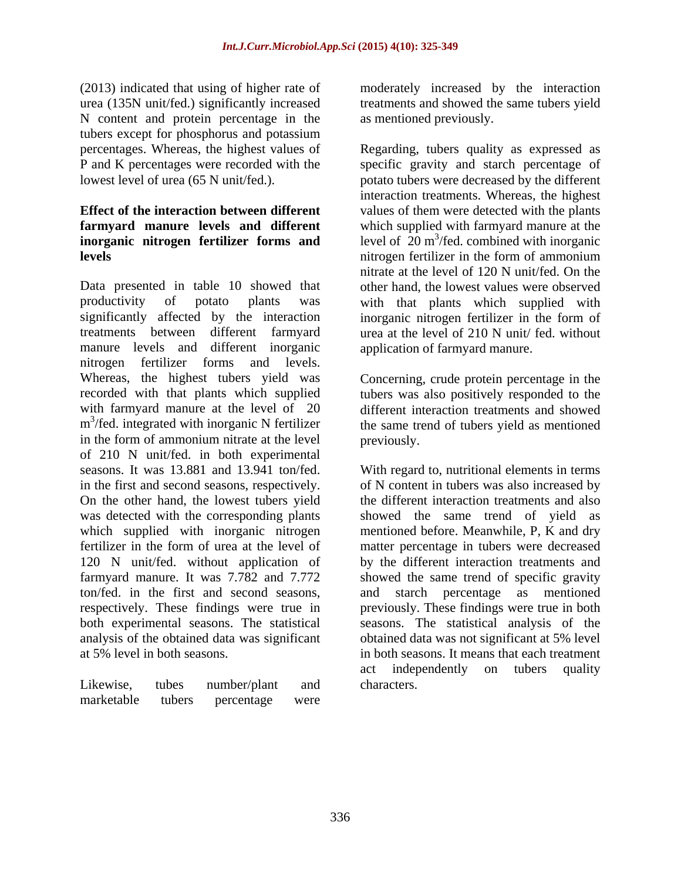(2013) indicated that using of higher rate of moderately increased by the interaction urea (135N unit/fed.) significantly increased N content and protein percentage in the tubers except for phosphorus and potassium<br>percentages. Whereas, the highest values of

# **inorganic nitrogen fertilizer forms and**

Data presented in table 10 showed that productivity of potato plants was with that plants which supplied with significantly affected by the interaction inorganic nitrogen fertilizer in the form of treatments between different farmyard urea at the level of 210 N unit/ fed. without manure levels and different inorganic nitrogen fertilizer forms and levels. Whereas, the highest tubers yield was Concerning, crude protein percentage in the recorded with that plants which supplied tubers was also positively responded to the with farmyard manure at the level of 20 different interaction treatments and showed m<sup>3</sup>/fed. integrated with inorganic N fertilizer the same trend of tubers yield as mentioned  $m<sup>3</sup>/fed$ . integrated with inorganic N fertilizer in the form of ammonium nitrate at the level previously. of 210 N unit/fed. in both experimental seasons. It was 13.881 and 13.941 ton/fed. seasons. It was 13.881 and 13.941 ton/fed. With regard to, nutritional elements in terms in the first and second seasons, respectively.  $\qquad \qquad$  of N content in tubers was also increased by On the other hand, the lowest tubers yield was detected with the corresponding plants showed the same trend of yield as which supplied with inorganic nitrogen mentioned before. Meanwhile, P, K and dry fertilizer in the form of urea at the level of matter percentage in tubers were decreased 120 N unit/fed. without application of by the different interaction treatments and farmyard manure. It was 7.782 and 7.772 showed the same trend of specific gravity ton/fed. in the first and second seasons, respectively. These findings were true in previously. These findings were true in both both experimental seasons. The statistical seasons. The statistical analysis of the analysis of the obtained data was significant obtained data was not significant at 5% level

treatments and showed the same tubers yield as mentioned previously.

percentages. Whereas, the highest values of Regarding, tubers quality as expressed as P and K percentages were recorded with the specific gravity and starch percentage of lowest level of urea (65 N unit/fed.). potato tubers were decreased by the different **Effect of the interaction between different** values of them were detected with the plants **farmyard manure levels and different** which supplied with farmyard manure at the **levels** nitrogen fertilizer in the form of ammonium interaction treatments. Whereas, the highest level of  $20 \text{ m}^3$ /fed. combined with inorganic nitrate at the level of 120 N unit/fed. On the other hand, the lowest values were observed application of farmyard manure.

previously.

at 5% level in both seasons. in both seasons. It means that each treatment Likewise, tubes number/plant and characters. the different interaction treatments and also and starch percentage as mentioned act independently on tubers quality characters.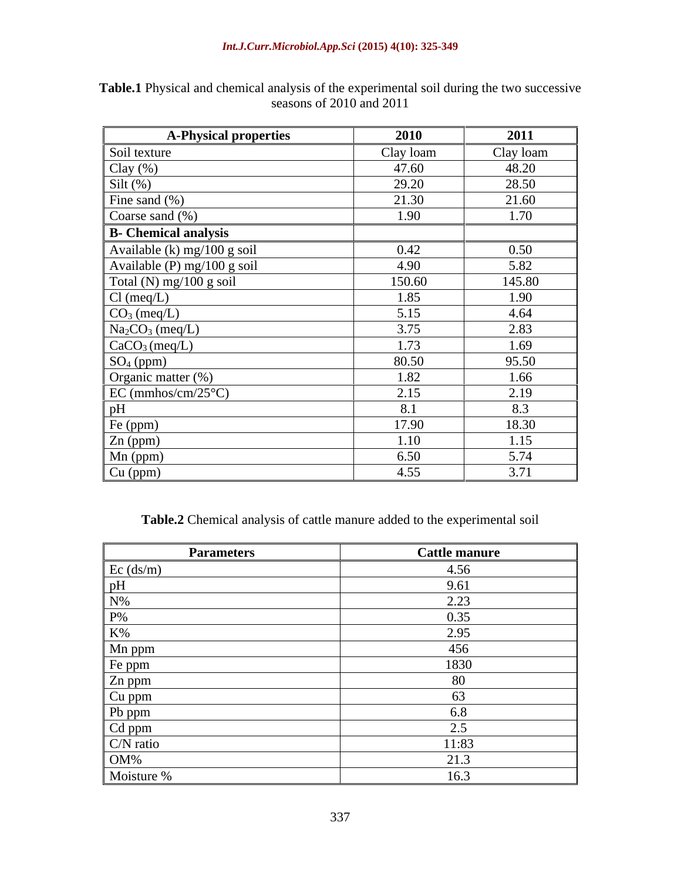| <b>A-Physical properties</b>                                                                                                                                                                                                               | 2010      | 2011      |
|--------------------------------------------------------------------------------------------------------------------------------------------------------------------------------------------------------------------------------------------|-----------|-----------|
| Soil texture                                                                                                                                                                                                                               | Clay loam | Clay loam |
|                                                                                                                                                                                                                                            | 47.60     | 48.20     |
|                                                                                                                                                                                                                                            | 29.20     | 28.50     |
| Clay (%)<br>Silt (%)<br>Fine sand (%)                                                                                                                                                                                                      | 21.30     | 21.60     |
| Coarse sand (%)                                                                                                                                                                                                                            | 1.90      | 1.70      |
| <b>B</b> - Chemical analysis                                                                                                                                                                                                               |           |           |
| Available (k) mg/100 g soil                                                                                                                                                                                                                | 0.42      | 0.50      |
| Available (P) mg/100 g soil                                                                                                                                                                                                                | 4.90      | 5.82      |
|                                                                                                                                                                                                                                            | 150.60    | 145.80    |
|                                                                                                                                                                                                                                            | 1.85      | 1.90      |
|                                                                                                                                                                                                                                            | 5.15      | 4.64      |
|                                                                                                                                                                                                                                            | 3.75      | 2.83      |
|                                                                                                                                                                                                                                            | 1.73      | 1.69      |
| Total (N) mg/100 g soil<br>Cl (meq/L)<br>Co <sub>3</sub> (meq/L)<br>Na <sub>2</sub> CO <sub>3</sub> (meq/L)<br>CaCO <sub>3</sub> (meq/L)<br>CaCO <sub>3</sub> (meq/L)<br>SO <sub>4</sub> (ppm)<br>Organic matter (%)<br>EC (mmhos/cm/25°C) | 80.50     | 95.50     |
|                                                                                                                                                                                                                                            | 1.82      | 1.66      |
|                                                                                                                                                                                                                                            | 2.15      | 2.19      |
| pH                                                                                                                                                                                                                                         | 8.1       | 8.3       |
|                                                                                                                                                                                                                                            | 17.90     | 18.30     |
|                                                                                                                                                                                                                                            | 1.10      | 1.15      |
|                                                                                                                                                                                                                                            | 6.50      | 5.74      |
| Fe (ppm)<br>Zn (ppm)<br>Mn (ppm)<br>Cu (ppm)                                                                                                                                                                                               | 4.55      | 3.71      |

**Table.1** Physical and chemical analysis of the experimental soil during the two successive seasons of 2010 and 2011

**Table.2** Chemical analysis of cattle manure added to the experimental soil

| <b>Parameters</b>                        | <b>Cattle manure</b> |
|------------------------------------------|----------------------|
| $Ec$ (ds/m)                              | 4.56                 |
|                                          | 9.61                 |
| 1 Y 70                                   | 2.23                 |
|                                          | 0.35                 |
| $K\%$                                    | 2.95                 |
| Mn ppm                                   | 456                  |
| Fe ppm                                   | 1830                 |
| Zn ppm                                   | $\Omega$<br>$\alpha$ |
| Cu ppm                                   | O3.                  |
| Pb ppm                                   |                      |
|                                          |                      |
| $\frac{\text{Cd ppm}}{\text{C/N ratio}}$ | 11:83                |
|                                          | 21.3                 |
| OM%<br>Moisture %                        | 16.3                 |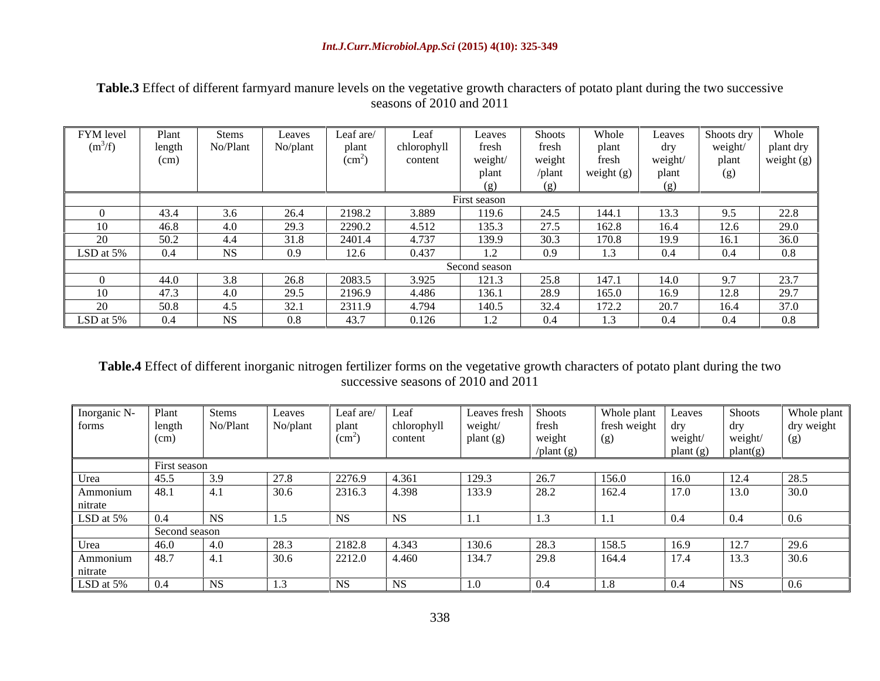### *Int.J.Curr.Microbiol.App.Sci* **(2015) 4(10): 325-349**

# **Table.3** Effect of different farmyard manure levels on the vegetative growth characters of potato plant during the two successive seasons of 2010 and 2011 seasons of 2010 and 2011

| FYM level   | Plant         | <b>Stems</b> |          | Leaf are/     |             | Leaves         | <b>Shoots</b> | Whole        | Leaves  | Shoots dry | Whole      |
|-------------|---------------|--------------|----------|---------------|-------------|----------------|---------------|--------------|---------|------------|------------|
| $(m^3/f)$   | length        | No/Plant     | No/plant | plant         | chlorophyll | fresh          | tresh         | plant        |         | weight/    | plant dry  |
|             | (cm)          |              |          | $\rm (cm^{-}$ | content     | weight         | weight        | fresh        | weight/ | plant      | weight (g) |
|             |               |              |          |               |             | plant          | /plant        | weight $(g)$ | plant   |            |            |
|             |               |              |          |               |             |                |               |              |         |            |            |
|             |               |              |          |               |             | First season   |               |              |         |            |            |
|             | 43.4          |              |          | 2198.2        | 3.889       | 119.6          | -24.3         | 144.1        | 13.3    |            | 22.8       |
|             | 46.8          | -4.0         |          | 2290.2        | 4.512       | 135.3          | 27.5          | 162.8        | 16.4    | 12.6       |            |
|             | -50.2         | 4.4          |          | 2401.4        | 4.737       | 139.9          | 30.3          | 170.8        | 19.9    | 16.1       | 36.0       |
| $LSD$ at 5% | $0.4^{\circ}$ | NS.          | 0.9      |               | 0.437       |                | 0.9           |              | 0.4     | 0.4        | 0.8        |
|             |               |              |          |               |             | Second season  |               |              |         |            |            |
|             | 44.0          | 3.8          | 26.8     | 2083.5        | 3.925       | 121.3          | 25.8          | 14/1         | 14.0    |            | 23.7       |
| 10          | 47.3          | 4.0          | 29.5     | 2196.9        | 4.486       | 136.1          | 28.9          | 165.0        | 16.9    | 12.8       | 207        |
|             | 50.8          | 4.5          |          | 2311.9        | 4.794       | 140.5          | 34.4          | 172'<br>12.4 | 20.7    | 16.4       |            |
| LSD at 5%   | $0.4^{\circ}$ | NS.          | 0.8      | 43.7          | 0.126       | 1 <sub>2</sub> | U.4           |              | 0.4     | 0.4        | 0.8        |

**Table.4** Effect of different inorganic nitrogen fertilizer forms on the vegetative growth characters of potato plant during the two successive seasons of 2010 and 2011

| Inorganic N-                     | Plant         | Stems     | Leaves                | Leaf are/       | Leaf        | Leaves fresh | <b>Shoots</b> | Whole plant                      | Leaves     | <b>Shoots</b> | Whole plant |
|----------------------------------|---------------|-----------|-----------------------|-----------------|-------------|--------------|---------------|----------------------------------|------------|---------------|-------------|
| forms                            | length        | No/Plant  | No/plant              | plan            | chlorophyll | weight       | fresh         | ${\rm fresh}$ weight ${\rm dry}$ |            | dry           | dry weight  |
|                                  | (cm)          |           |                       | $\rm (cm^{-}$   | content     | plant (g)    | weight        | (g)                              | weight/    | weight/       |             |
|                                  |               |           |                       |                 |             |              | 'plant (g)    |                                  | plant (g)  | plan(fg)      |             |
|                                  | First season  |           |                       |                 |             |              |               |                                  |            |               |             |
| Urea                             | 45.5          | 3.9       | 27.8                  | 2276.9          | 4.361       | 129.3        | 26.7          | 156.0                            | 16.0       | 12.4          | 28.5        |
|                                  | റ-<br>48.1    | 4.1       | 30.6                  | 2316.3          | 4.398       | 133.9        | 28.2          | 162.4                            | 17.0       | $\vert$ 13.0  | 30.0        |
|                                  |               |           |                       |                 |             |              |               |                                  |            |               |             |
| Ammonium<br>nitrate<br>LSD at 5% |               | $ $ NS    |                       | <b>NS</b>       |             |              |               |                                  | $\mid$ 0.4 | $\mid$ 0.4    | 0.6         |
|                                  | Second season |           |                       |                 |             |              |               |                                  |            |               |             |
| Urea                             | 46.0          | 4.0       | 28.3                  | 2182.8          | 4.343       | 130.6        | 28.3          | 158.5                            | 16.9       | 12.7          | 29.6        |
| Ammonium                         | 48.7          | 14.1      | 30.6                  | 2212.0          | 4.460       | 134.7        | 29.8          | 164.4                            | 17.4       | 13.3          | 30.6        |
|                                  |               |           |                       |                 |             |              |               |                                  |            |               |             |
| nitrate<br>LSD at 5%             | 0.4           | <b>NS</b> | 1 <sub>2</sub><br>1.3 | NS <sub>1</sub> |             |              |               | 1.0                              | $\pm 0.4$  | <b>NS</b>     | 0.6         |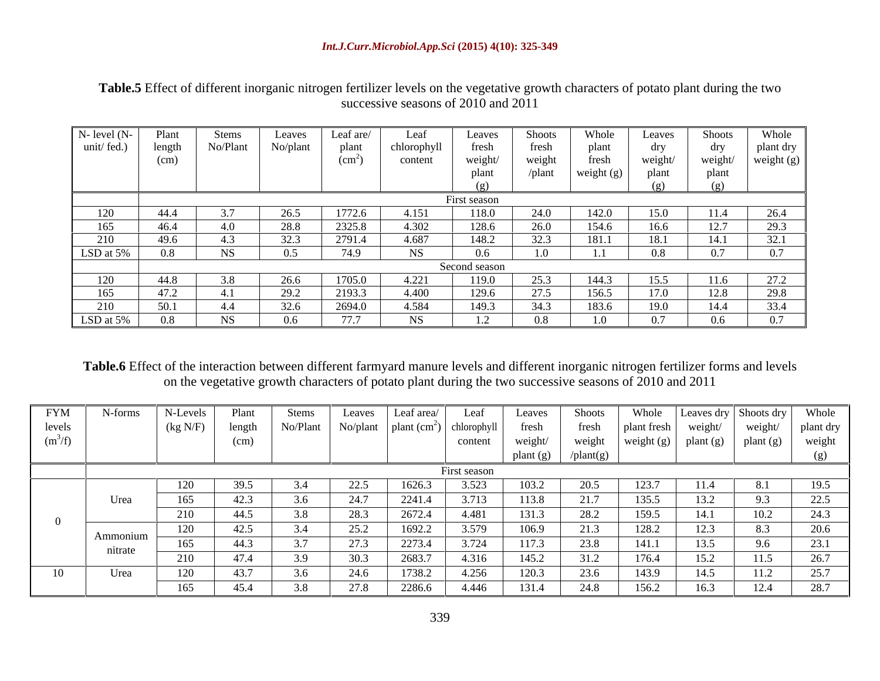**Table.5** Effect of different inorganic nitrogen fertilizer levels on the vegetative growth characters of potato plant during the two successive seasons of 2010 and 2011

| $N-$ level $(N-$                | Plant  | Stems     | Leaves   | Leaf are     | Leaf        | Leaves        | <b>Shoots</b> | Whole      | Leaves | <b>Shoots</b> | Whole           |
|---------------------------------|--------|-----------|----------|--------------|-------------|---------------|---------------|------------|--------|---------------|-----------------|
| unit/fed.)                      | length | No/Plant  | No/plant | plant        | chlorophyll | fresh         | tresh         | plant      |        | dry           | plant dry       |
|                                 | (cm)   |           |          | $\rm (cm^2)$ | content     | weight/       | weight        | fresh      | weight | weight        | weight $(g)$    |
|                                 |        |           |          |              |             |               | $\theta$ lant | weight (g) | plan   | plant         |                 |
|                                 |        |           |          |              |             |               |               |            |        |               |                 |
|                                 |        |           |          |              |             | First season  |               |            |        |               |                 |
| 120                             | 44.4   |           | 26.5     | 1772.6       | 4.151       | 118.0         | 24.0          | 142.0      | 15.0   | 11.4          | 26.4            |
| 165                             | 46.4   | 4.0       | 28.8     | 2325.8       | 4.302       | 128.6         | 26.0          | 154.6      | 16.6   | 127<br>12.1   | 29.3            |
| 210                             | 49.6   | 4.5       | 32.3     | 2791.4       | 4.687       | 148.2         | 222<br>32.3   | 181.1      | 18.1   | 14.1          | 32.1            |
| LSD at 5%                       |        | <b>NS</b> | 0.5      | 74.9         | NS          | $0.6\,$       |               | 1.1        | 0.8    | 0.7           | $\Omega$ $\tau$ |
|                                 |        |           |          |              |             | Second season |               |            |        |               |                 |
| 120                             | 44.8   |           | 26.6     | 1705.0       | 4.221       | 119.0         | 25.3          | 144.3      | 15.5   | 11.6          | 27.2            |
| 165                             | 47.2   |           | 29.2     | 2193.3       | 4.400       | 129.6         | 27.5          | 156.5      | 17.0   | 12.8          | 29.8            |
|                                 | 50.1   | 4.4       | 32.6     | 2694.0       | 4.584       | 149.3         | 34.3          | 183.6      | 19.0   | 14.4          | 33.4            |
| $\frac{210}{\text{LSD at }5\%}$ |        | NS        | 0.6      | 77.7         | NS          | 1.2           | 0.8           | 1.0        | 0.7    | $0.6\,$       | $\Omega$ $\tau$ |

**Table.6** Effect of the interaction between different farmyard manure levels and different inorganic nitrogen fertilizer forms and levels on the vegetative growth characters of potato plant during the two successive seasons of 2010 and 2011

| <b>FYM</b> | N-forms  | N-Levels | Plant  | Stems    | Leaves | .eaf area                              | Leaf         | Leaves    | <b>Shoots</b> | Whole        |           | Leaves dry Shoots dry | Whole    |
|------------|----------|----------|--------|----------|--------|----------------------------------------|--------------|-----------|---------------|--------------|-----------|-----------------------|----------|
| levels     |          | (kg N/F) | length | No/Plant |        | No/plant $ $ plant $(cm2)$ chlorophyll |              | fresh     | tresh         | plant fresh  | weight    | weight                | plant dr |
| $(m^3/f)$  |          |          | (cm)   |          |        |                                        | content      | weight/   | weight        | weight $(g)$ | plant (g) | plant (g)             | weight   |
|            |          |          |        |          |        |                                        |              | plant (g) |               |              |           |                       |          |
|            |          |          |        |          |        |                                        | First season |           |               |              |           |                       |          |
|            |          |          | 39.5   | 3.4      | 22.5   | 1626.3                                 | 3.523        | 103.2     |               |              |           | 8.1                   | 19.5     |
|            | Urea     | 165      | 42.3   | 3.6      | 24.7   | 2241.4                                 | 3.713        | 113.8     | 21.7          | 135.5        | 13.2      | 9.3                   | 22.5     |
|            |          | 210      | 44.5   | 3.8      | 28.3   | 2672.4                                 | 4.481        | 131.3     | 28.2          | 159.5        | 14.1      | 10.2                  | 24.3     |
|            | Ammonium |          | 42.5   | 3.4      | 25.2   | 1692.2                                 | 3.579        | 106.9     | 21.3          | 128.2        | 12.3      | 8.3                   | 20.6     |
|            | nitrate  | 165      | 44.3   | 3.7      | 27.3   | 2273.4                                 | 3.724        | 117.3     | 23.8          | 141.1        | 13.5      | 9.6                   | 23.1     |
|            |          | 210      | 47.4   | 3.9      | 30.3   | 2683.7                                 | 4.316        | 145.2     | 31.2          | 176.4        | 15.2      | 11.5                  | 26.7     |
| 10         | Urea     | 120      | 43.7   | 3.6      | 24.6   | 1738.2                                 | 4.256        | 120.3     | 23.6          | 143.9        | 14.5      | 11.2                  | 25.7     |
|            |          | 165      | 45.4   | 3.8      | 27.8   | 2286.6                                 | 4.446        | 131.4     | 24.8          | 156.2        | 16.3      | 12.4                  | 28.7     |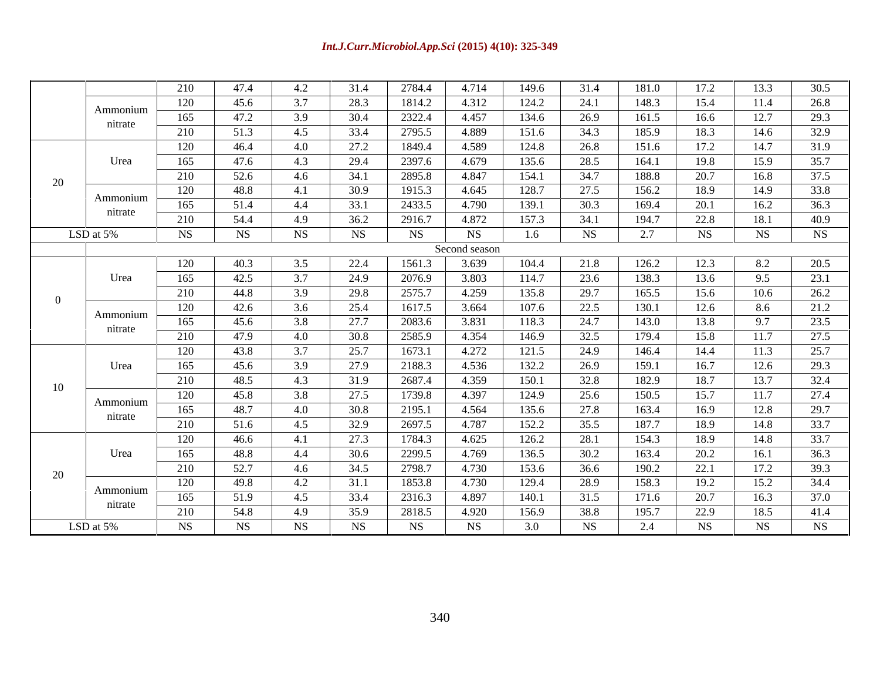|    |              | 210 | 47.4 | 4.2 | 31.4 | 2784.4    | 4.714         | 149.6 | 31.4 | 181.0 | 17.2 | 13.3 | 30.5      |
|----|--------------|-----|------|-----|------|-----------|---------------|-------|------|-------|------|------|-----------|
|    | Ammonium     | 120 | 45.6 | 3.7 | 28.3 | 1814.2    | 4.312         | 124.2 | 24.1 | 148.3 | 15.4 | 11.4 | 26.8      |
|    |              | 165 | 47.2 | 3.9 | 30.4 | 2322.4    | 4.457         | 134.6 | 26.9 | 161.5 | 16.6 | 12.7 | 29.3      |
|    | nitrate      | 210 | 51.3 | 4.5 | 33.4 | 2795.5    | 4.889         | 151.6 | 34.3 | 185.9 | 18.3 | 14.6 | 32.9      |
|    |              | 120 | 46.4 | 4.0 | 27.2 | 1849.4    | 4.589         | 124.8 | 26.8 | 151.6 | 17.2 | 14.7 | 31.9      |
|    | Urea         | 165 | 47.6 | 4.3 | 29.4 | 2397.6    | 4.679         | 135.6 | 28.5 | 164.1 | 19.8 | 15.9 | 35.7      |
| 20 |              | 210 | 52.6 | 4.6 | 34.1 | 2895.8    | 4.847         | 154.1 | 34.7 | 188.8 | 20.7 | 16.8 | 37.5      |
|    | Ammonium     | 120 | 48.8 | 4.1 | 30.9 | 1915.3    | 4.645         | 128.7 | 27.5 | 156.2 | 18.9 | 14.9 | 33.8      |
|    | nitrate      | 165 | 51.4 | 4.4 | 33.1 | 2433.5    | 4.790         | 139.1 | 30.3 | 169.4 | 20.1 | 16.2 | 36.3      |
|    |              | 210 | 54.4 | 4.9 | 36.2 | 2916.7    | 4.872         | 157.3 | 34.1 | 194.7 | 22.8 | 18.1 | 40.9      |
|    | LSD at $5\%$ | NS  | NS   | NS  | NS   | <b>NS</b> | NS            | 1.6   | NS   | 2.7   | NS   | NS   | <b>NS</b> |
|    |              |     |      |     |      |           | Second season |       |      |       |      |      |           |
|    |              | 120 | 40.3 | 3.5 | 22.4 | 1561.3    | 3.639         | 104.4 | 21.8 | 126.2 | 12.3 | 8.2  | 20.5      |
|    | Urea         | 165 | 42.5 | 3.7 | 24.9 | 2076.9    | 3.803         | 114.7 | 23.6 | 138.3 | 13.6 | 9.5  | 23.1      |
|    |              | 210 | 44.8 | 3.9 | 29.8 | 2575.7    | 4.259         | 135.8 | 29.7 | 165.5 | 15.6 | 10.6 | 26.2      |
|    |              | 120 | 42.6 | 3.6 | 25.4 | 1617.5    | 3.664         | 107.6 | 22.5 | 130.1 | 12.6 | 8.6  | 21.2      |
|    | Ammonium     | 165 | 45.6 | 3.8 | 27.7 | 2083.6    | 3.831         | 118.3 | 24.7 | 143.0 | 13.8 | 9.7  | 23.5      |
|    | nitrate      | 210 | 47.9 | 4.0 | 30.8 | 2585.9    | 4.354         | 146.9 | 32.5 | 179.4 | 15.8 | 11.7 | 27.5      |
|    |              | 120 | 43.8 | 3.7 | 25.7 | 1673.1    | 4.272         | 121.5 | 24.9 | 146.4 | 14.4 | 11.3 | 25.7      |
|    | Urea         | 165 | 45.6 | 3.9 | 27.9 | 2188.3    | 4.536         | 132.2 | 26.9 | 159.1 | 16.7 | 12.6 | 29.3      |
| 10 |              | 210 | 48.5 | 4.3 | 31.9 | 2687.4    | 4.359         | 150.1 | 32.8 | 182.9 | 18.7 | 13.7 | 32.4      |
|    | Ammonium     | 120 | 45.8 | 3.8 | 27.5 | 1739.8    | 4.397         | 124.9 | 25.6 | 150.5 | 15.7 | 11.7 | 27.4      |
|    |              | 165 | 48.7 | 4.0 | 30.8 | 2195.1    | 4.564         | 135.6 | 27.8 | 163.4 | 16.9 | 12.8 | 29.7      |
|    | nitrate      | 210 | 51.6 | 4.5 | 32.9 | 2697.5    | 4.787         | 152.2 | 35.5 | 187.7 | 18.9 | 14.8 | 33.7      |
|    |              | 120 | 46.6 | 4.1 | 27.3 | 1784.3    | 4.625         | 126.2 | 28.1 | 154.3 | 18.9 | 14.8 | 33.7      |
|    | Urea         | 165 | 48.8 | 4.4 | 30.6 | 2299.5    | 4.769         | 136.5 | 30.2 | 163.4 | 20.2 | 16.1 | 36.3      |
| 20 |              | 210 | 52.7 | 4.6 | 34.5 | 2798.7    | 4.730         | 153.6 | 36.6 | 190.2 | 22.1 | 17.2 | 39.3      |
|    |              | 120 | 49.8 | 4.2 | 31.1 | 1853.8    | 4.730         | 129.4 | 28.9 | 158.3 | 19.2 | 15.2 | 34.4      |
|    | Ammonium     | 165 | 51.9 | 4.5 | 33.4 | 2316.3    | 4.897         | 140.1 | 31.5 | 171.6 | 20.7 | 16.3 | 37.0      |
|    | nitrate      | 210 | 54.8 | 4.9 | 35.9 | 2818.5    | 4.920         | 156.9 | 38.8 | 195.7 | 22.9 | 18.5 | 41.4      |
|    | LSD at $5\%$ | NS  | NS   | NS. | NS   | <b>NS</b> | NS            | 3.0   | NS   | 2.4   | NS   | NS   | <b>NS</b> |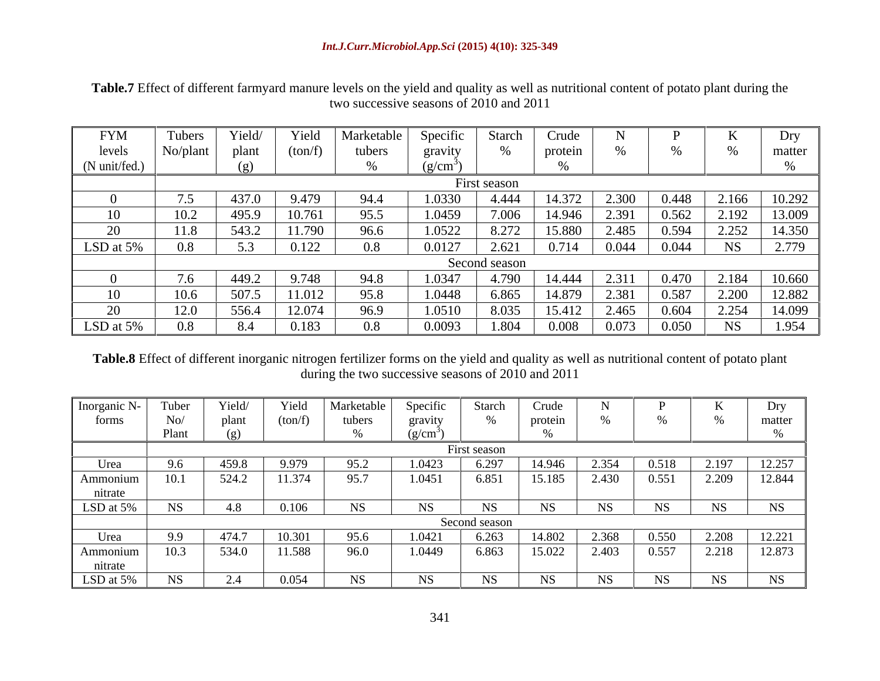**Table.7** Effect of different farmyard manure levels on the yield and quality as well as nutritional content of potato plant during the two successive seasons of 2010 and 2011

| <b>FYM</b>    | Tubers         |        | i ieiu  | Marketable | Specific | Starc         |         |       |       |           |          |
|---------------|----------------|--------|---------|------------|----------|---------------|---------|-------|-------|-----------|----------|
| levels        |                | plant  | (ton/f) | tubers     | gravi    |               | proteir |       |       |           | matte    |
| (N unit/fed.) |                |        |         |            | (g/cm)   |               |         |       |       |           |          |
|               |                |        |         |            |          | First season  |         |       |       |           |          |
|               |                |        | 9.479   | 94.4       | 1.0330   | 4.444         | 14.372  | 2.300 | 0.448 | 2.166     | $10.292$ |
|               |                | -495.9 |         | 95.5       | LU45     | 1000          | 14.946  |       | 0.562 |           | 13.009   |
|               |                | 543.2  | 11.790  | 96.6       | 1.0522   | 8.272         | 15.880  | 2.485 | 0.594 | 2.252     | 14.350   |
| LSD at 5%     | U <sub>0</sub> |        |         |            |          |               | 0.714   |       | 0.044 | <b>NS</b> | 2.770    |
|               |                |        |         |            |          | Second season |         |       |       |           |          |
|               |                | 449.2  | . 748   | 94.8       | 1.034    | 4.790         | 14.444  |       | 0.470 | 2.184     | 10.660   |
| 10            |                | 507    | 11.012  | 95.8       | 1.0448   | 6.865         | 14.879  | 2.381 | 0.587 | 2.200     | 12.882   |
|               |                | 556.4  | 12.074  | 96.9       | 1.0510   | 8.035         | 15.412  | 2.465 | 0.604 | 2.254     | 14.099   |
| LSD at 5%     |                | 8.4    |         |            | 0.009    |               | 0.008   |       | 0.050 |           |          |

**Table.8** Effect of different inorganic nitrogen fertilizer forms on the yield and quality as well as nutritional content of potato plant during the two successive seasons of 2010 and 2011

| Inorganic N- | Tuber     |                    | Yield   | Marketable | Specific  | Starch        |           |           |           |       | Drv       |
|--------------|-----------|--------------------|---------|------------|-----------|---------------|-----------|-----------|-----------|-------|-----------|
| torms        | $N_{0}$   |                    |         | tubers     | gravity   |               | protein   |           |           |       | matter    |
|              | Plant     |                    |         |            | (9/Cm)    |               |           |           |           |       |           |
|              |           |                    |         |            |           | First season  |           |           |           |       |           |
| Urea         |           |                    |         |            | 1.0423    | 6.297         |           | 2.SI4     | 0.518     | 2.197 | 12.257    |
| Ammonium     | 10.1      | 524.2              | 11.374  | 95.7       | 1.0451    | 6.851         | 15.185    | 2.430     | 0.551     | 2.209 | 12.844    |
| nitrate      |           |                    |         |            |           |               |           |           |           |       |           |
| LSD at 5%    | NS.       | 4.8                | 0.106   |            |           |               |           | NS.       | NS.       |       | <b>NS</b> |
|              |           |                    |         |            |           | Second season |           |           |           |       |           |
| Urea I       |           |                    | 10. KDT | 95.6       | 1.0421    | 6.263         | 14.802    | 2.368     | 0.550     | 2.208 | 12.221    |
| Ammonium     | 10.3      | 534.0              | 11.588  | 96.0       | 1.0449    | 6.863         | 15.022    | 2.403     | 0.557     | 2.218 | 12.873    |
| nitrate      |           |                    |         |            |           |               |           |           |           |       |           |
| LSD at 5%    | <b>NS</b> | $\Omega$ $\Lambda$ | 0.054   | <b>NS</b>  | <b>NS</b> | <b>NS</b>     | <b>NS</b> | <b>NS</b> | <b>NS</b> | NC.   | <b>NS</b> |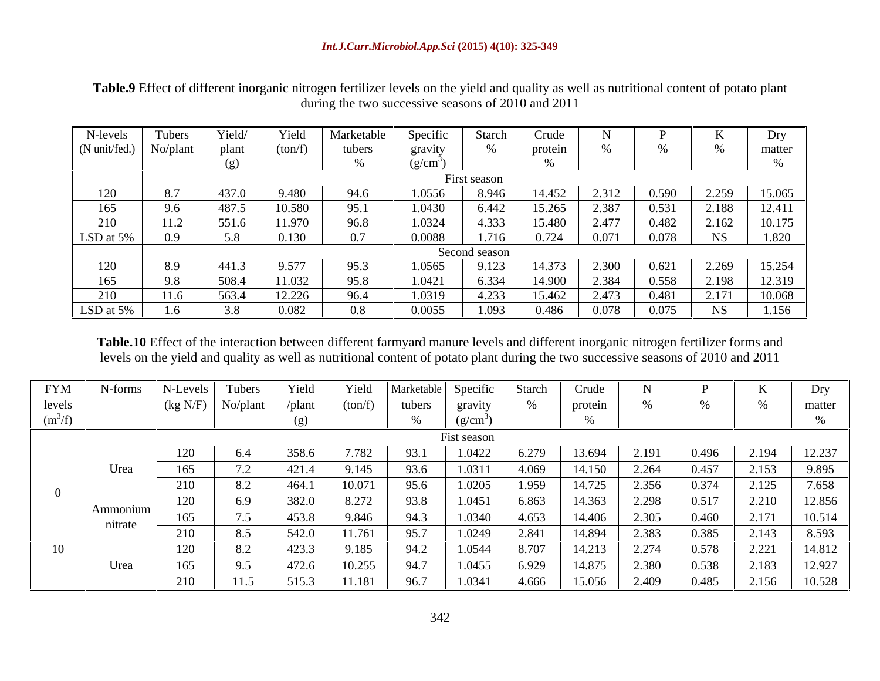**Table.9** Effect of different inorganic nitrogen fertilizer levels on the yield and quality as well as nutritional content of potato plant during the two successive seasons of 2010 and 2011

| N-levels                         |      | r ield | r ield  | Marketabl | Specific              |               |          |       |       |           |        |
|----------------------------------|------|--------|---------|-----------|-----------------------|---------------|----------|-------|-------|-----------|--------|
| $(N \text{ unit/fed.})$ No/plant |      | plant  | (ton/t) | tubers    | gravity               |               |          |       |       |           | matter |
|                                  |      |        |         |           | $(\sigma/cm^{\circ})$ |               |          |       |       |           |        |
|                                  |      |        |         |           |                       | First season  |          |       |       |           |        |
|                                  |      |        | 9.48U   |           | 1.0556                | 8.946         | 14.452   | 2.512 | U.SYV | 2.259     | 15.065 |
|                                  | 9.6  | 487.   | 10.580  | 95.1      | 1.0430                | 6.442         | 15.265   | 2.387 | 0.531 | 2.188     | 12.411 |
|                                  |      | 551.6  | 11.970  | 96.8      | 1.0324                | 4.333         | 15.480 - | 2.477 | 0.482 | 2.162     | 10.175 |
| LSD at 5%                        |      |        | 0.130   | 0.7       | 0.0088                |               |          | 0.071 | 0.078 | <b>NS</b> | 1.820  |
|                                  |      |        |         |           |                       | Second season |          |       |       |           |        |
|                                  | 8.Y  | -441.  | 9.577   | 95.3      | 1.0565                | 9.123         | 14.373   | 2.300 | 0.621 | 2.269     |        |
|                                  | 9.8  | 508.4  | 1.032   | 95.8      | 1.0421                | 6.334         | 14.900   |       | 0.558 |           | 12.319 |
|                                  | 11.6 | 563.4  | 12.226  | 96.4      | 1.0319                | 4.233         | 15.462   | 2.473 | 0.481 | 2.171     | 10.068 |
| LSD at 5%                        |      | 3.8    | 0.082   | $0.8\,$   | 0.0055                | 1.093         | 0.486    | 0.078 | 0.075 | NC.       | 1.156  |

**Table.10** Effect of the interaction between different farmyard manure levels and different inorganic nitrogen fertilizer forms and levels on the yield and quality as well as nutritional content of potato plant during the two successive seasons of 2010 and 2011

| <b>FYM</b> | N-forms             | N-Levels           | Tubers   | Yield        | Y <sub>1</sub> eld | Marketable  | Specific    | Starch   | Crude   |       |       |       |        |
|------------|---------------------|--------------------|----------|--------------|--------------------|-------------|-------------|----------|---------|-------|-------|-------|--------|
| levels     |                     | (kg N/F)           | No/plant | /plant       | (ton/f)            | tubers      | gravity     |          | protein |       |       |       | matter |
| $(m^3/f)$  |                     |                    |          |              |                    |             | (9/Cm)      |          |         |       |       |       |        |
|            |                     |                    |          |              |                    |             | Fist season |          |         |       |       |       |        |
|            |                     | 120                | $v.+$    | 358.6        | 7.782              | <b>79.1</b> | 1.0422      |          | 13.694  | 2.191 | 0.496 | 2.194 | 12.237 |
|            | Urea                | 165                |          | 421.4        | 9.145              | 73.0        | 1.0311      | 4.069    | 14.150  | 2.264 | 0.457 | 2.153 | 9.895  |
|            |                     | 210                |          | 464.1        | 10.071             | 35.0        | 1.0205      | .959     | 14.725  | 2.356 | 0.374 | 2.125 | 7.658  |
|            |                     | 120                |          | 382.0        | 8.272              | 93.8        | 1.0451      | 6.863    | 14.363  | 2.298 | 0.517 | 2.210 | 12.856 |
|            | Ammonium<br>nitrate | 165                |          | 453.8        | 9.846              | 74.J        | 1.0340      | 4.653    | 14.406  | 2.305 | 0.460 | 2.171 | 10.514 |
|            |                     | 210                |          | 542.0        | 11.761             |             | 1.0249      | $-0.841$ | 14.894  | 2.383 | 0.385 | 2.143 | 8.593  |
|            |                     | 120                | O.Z      | 423.3        | 9.185              | フォ・ム        | 1.0544      | 8.707    | 14.213  | 2.274 | 0.578 | 2.221 | 14.812 |
|            | Urea                | 165                | ر. ر     | 172<br>472.6 | 10.255             | フー・ハ        | 1.0455      | 6.929    | 14.875  | 2.380 | 0.538 | 2.183 | 12.927 |
|            |                     | 210<br>$\angle 10$ | 11.J     | 515.3        | 11.181             | 90.         | 1.0341      | 4.666    | 15.056  | 2.409 | 0.485 | 2.156 | 10.528 |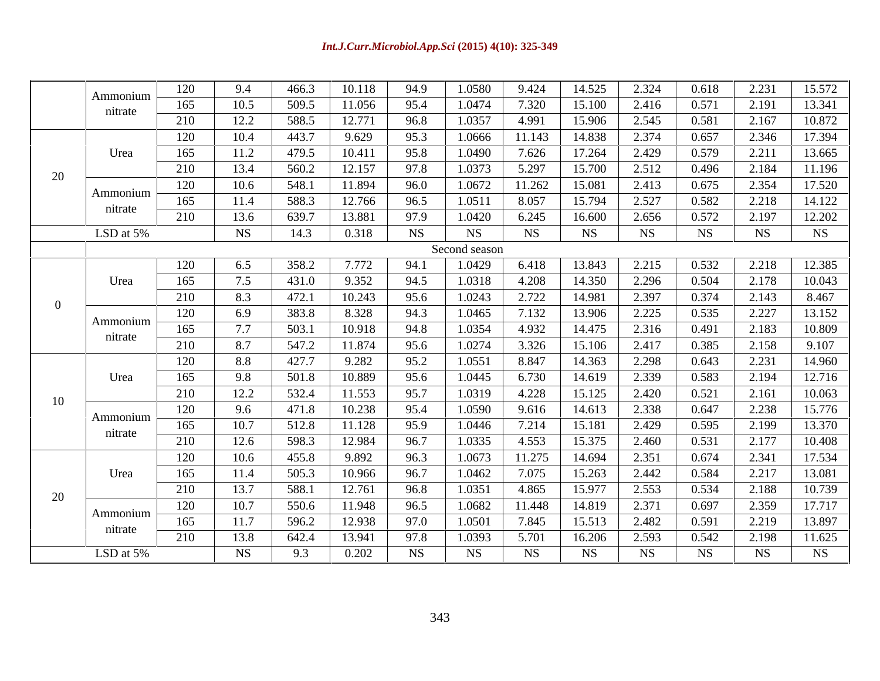|    | Ammonium            |            | 9.4             | 466.3          | 10.118           | 94.9         | 1.0580           | 9.424          | 14.525           | 2.324          | 0.618          | 2.231          | 15.572           |
|----|---------------------|------------|-----------------|----------------|------------------|--------------|------------------|----------------|------------------|----------------|----------------|----------------|------------------|
|    | nitrate             | 165        | 10.5            | 509.5          | 11.056           | 95.4         | 1.0474           | 7.320          | 15.100           | 2.416          | 0.571          | 2.191          | 13.341           |
|    |                     | 210        | 12.2            | 588.5          | 12.771           | 96.8         | 1.0357           | 4.991          | 15.906           | 2.545          | 0.581          | 2.167          | 10.872           |
|    |                     | 120        | 10.4            | 443.7          | 9.629            | 95.3         | 1.0666           | 11.143         | 14.838           | 2.374          | 0.657          | 2.346          | 17.394           |
|    | Urea                | 165        | 11.2            | 479.5          | 10.411           | 95.8         | 1.0490           | 7.626          | 17.264           | 2.429          | 0.579          | 2.211          | 13.665           |
| 20 |                     | 210        | 13.4            | 560.2          | 12.157           | 97.8         | 1.0373           | 5.297          | 15.700           | 2.512          | 0.496          | 2.184          | 11.196           |
|    |                     | 120        | 10.6            | 548.1          | 11.894           | 96.0         | 1.0672           | 11.262         | 15.081           | 2.413          | 0.675          | 2.354          | 17.520           |
|    | Ammonium<br>nitrate | 165        | 11.4            | 588.3          | 12.766           | 96.5         | 1.0511           | 8.057          | 15.794           | 2.527          | 0.582          | 2.218          | 14.122           |
|    |                     | 210        | 13.6            | 639.7          | 13.881           | 97.9         | 1.0420           | 6.245          | 16.600           | 2.656          | 0.572          | 2.197          | 12.202           |
|    | LSD at $5\%$        |            | NS <sub>.</sub> | 14.3           | 0.318            | <b>NS</b>    | <b>NS</b>        | <b>NS</b>      | <b>NS</b>        | <b>NS</b>      | <b>NS</b>      | NS.            | <b>NS</b>        |
|    | Second season       |            |                 |                |                  |              |                  |                |                  |                |                |                |                  |
|    |                     | 120        | 6.5             | 358.2          | 7.772            | 94.1         | 1.0429           | 6.418          | 13.843           | 2.215          | 0.532          | 2.218          | 12.385           |
|    | Urea                | 165        | 7.5             | 431.0          | 9.352            | 94.5         | 1.0318           | 4.208          | 14.350           | 2.296          | 0.504          | 2.178          | 10.043           |
|    |                     | 210        | 8.3             | 472.1          | 10.243           | 95.6         | 1.0243           | 2.722          | 14.981           | 2.397          | 0.374          | 2.143          | 8.467            |
|    |                     | 120        | 6.9             | 383.8          | 8.328            | 94.3         | 1.0465           | 7.132          | 13.906           | 2.225          | 0.535          | 2.227          | 13.152           |
|    | Ammonium            | 165        | 7.7             | 503.1          | 10.918           | 94.8         | 1.0354           | 4.932          | 14.475           | 2.316          | 0.491          | 2.183          | 10.809           |
|    | nitrate             | 210        | 8.7             | 547.2          | 11.874           | 95.6         | 1.0274           | 3.326          | 15.106           | 2.417          | 0.385          | 2.158          | 9.107            |
|    |                     | 120        | 8.8             | 427.7          | 9.282            | 95.2         | 1.0551           | 8.847          | 14.363           | 2.298          | 0.643          | 2.231          | 14.960           |
|    | Urea                | 165        | 9.8             | 501.8          | 10.889           | 95.6         | 1.0445           | 6.730          | 14.619           | 2.339          | 0.583          | 2.194          | 12.716           |
|    |                     | 210        | 12.2            | 532.4          | 11.553           | 95.7         | 1.0319           | 4.228          | 15.125           | 2.420          | 0.521          | 2.161          | 10.063           |
| 10 |                     | 120        | 9.6             | 471.8          | 10.238           | 95.4         | 1.0590           | 9.616          | 14.613           | 2.338          | 0.647          | 2.238          | 15.776           |
|    | Ammonium            | 165        | 10.7            | 512.8          | 11.128           | 95.9         | 1.0446           | 7.214          | 15.181           | 2.429          | 0.595          | 2.199          | 13.370           |
|    | nitrate             | 210        | 12.6            | 598.3          | 12.984           | 96.7         | 1.0335           | 4.553          | 15.375           | 2.460          | 0.531          | 2.177          | 10.408           |
|    |                     | 120        | 10.6            | 455.8          | 9.892            | 96.3         | 1.0673           | 11.275         | 14.694           | 2.351          | 0.674          | 2.341          | 17.534           |
|    | Urea                | 165        | 11.4            | 505.3          | 10.966           | 96.7         | 1.0462           | 7.075          | 15.263           | 2.442          | 0.584          | 2.217          | 13.081           |
|    |                     | 210        | 13.7            | 588.1          | 12.761           | 96.8         | 1.0351           | 4.865          | 15.977           | 2.553          | 0.534          | 2.188          | 10.739           |
| 20 |                     | 120        | 10.7            | 550.6          | 11.948           | 96.5         | 1.0682           | 11.448         | 14.819           | 2.371          | 0.697          | 2.359          | 17.717           |
|    |                     |            |                 |                |                  |              |                  |                |                  |                |                |                |                  |
|    | Ammonium            |            |                 |                |                  |              |                  |                |                  |                |                |                |                  |
|    | nitrate             | 165<br>210 | 11.7<br>13.8    | 596.2<br>642.4 | 12.938<br>13.941 | 97.0<br>97.8 | 1.0501<br>1.0393 | 7.845<br>5.701 | 15.513<br>16.206 | 2.482<br>2.593 | 0.591<br>0.542 | 2.219<br>2.198 | 13.897<br>11.625 |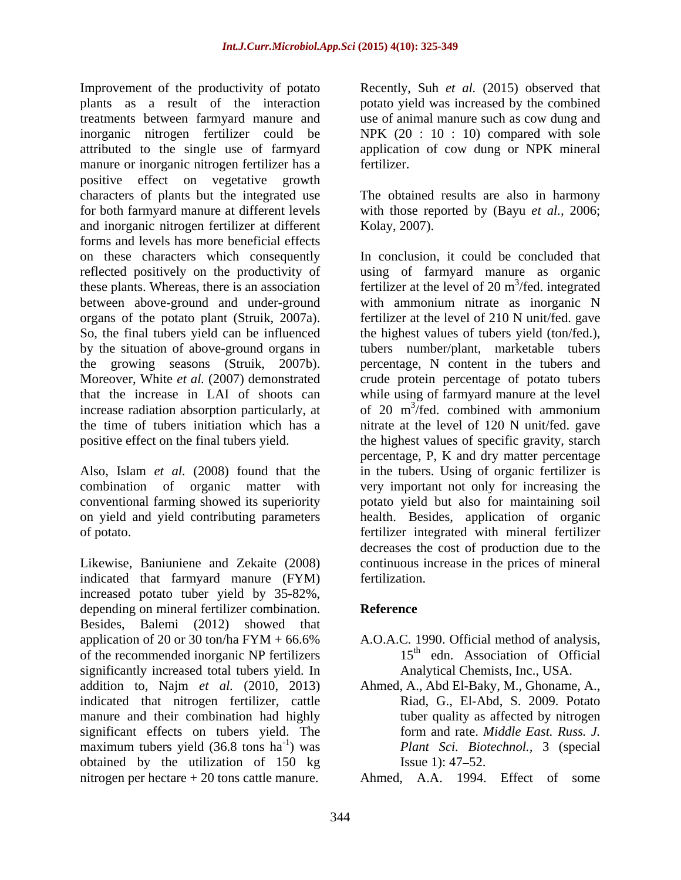Improvement of the productivity of potato Recently, Suh *et al.* (2015) observed that plants as a result of the interaction potato yield was increased by the combined treatments between farmyard manure and use of animal manure such as cow dung and inorganic nitrogen fertilizer could be NPK (20 : 10 : 10) compared with sole attributed to the single use of farmyard application of cow dung or NPK mineral manure or inorganic nitrogen fertilizer has a fertilizer. positive effect on vegetative growth characters of plants but the integrated use The obtained results are also in harmony for both farmyard manure at different levels with those reported by (Bayu *et al.,* 2006; and inorganic nitrogen fertilizer at different forms and levels has more beneficial effects on these characters which consequently reflected positively on the productivity of

indicated that farmyard manure (FYM) increased potato tuber yield by 35-82%, depending on mineral fertilizer combination. Reference Besides, Balemi (2012) showed that application of 20 or 30 ton/ha FYM + 66.6% A.O.A.C. 1990. Official method of analysis, of the recommended inorganic NP fertilizers significantly increased total tubers yield. In addition to, Najm *et al.* (2010, 2013) Ahmed, A., Abd El-Baky, M., Ghoname, A., indicated that nitrogen fertilizer, cattle manure and their combination had highly significant effects on tubers yield. The form and rate. Middle East. Russ. J. maximum tubers yield  $(36.8 \text{ tons} \text{ ha}^{-1})$  was obtained by the utilization of 150 kg nitrogen per hectare + 20 tons cattle manure.

fertilizer.

Kolay, 2007).

these plants. Whereas, there is an association fertilizer at the level of 20  $\text{m}^3/\text{fed.}$  integrated between above-ground and under-ground with ammonium nitrate as inorganic N organs of the potato plant (Struik, 2007a). fertilizer at the level of 210 N unit/fed. gave So, the final tubers yield can be influenced the highest values of tubers yield (ton/fed.), by the situation of above-ground organs in tubers number/plant, marketable tubers the growing seasons (Struik, 2007b). percentage, N content in the tubers and Moreover, White *et al.* (2007) demonstrated crude protein percentage of potato tubers that the increase in LAI of shoots can while using of farmyard manure at the level increase radiation absorption particularly, at  $\qquad$  of 20 m<sup>3</sup>/fed. combined with ammonium the time of tubers initiation which has a nitrate at the level of 120 N unit/fed. gave positive effect on the final tubers yield. the highest values of specific gravity, starch Also, Islam *et al.* (2008) found that the in the tubers. Using of organic fertilizer is combination of organic matter with very important not only for increasing the conventional farming showed its superiority potato yield but also for maintaining soil on yield and yield contributing parameters health. Besides, application of organic of potato. fertilizer integrated with mineral fertilizer Likewise, Baniuniene and Zekaite (2008) continuous increase in the prices of mineral In conclusion, it could be concluded that using of farmyard manure as organic  $3/fod$  integrated /fed. integrated /fed. combined with ammonium percentage, P, K and dry matter percentage decreases the cost of production due to the fertilization.

# **Reference**

- 15<sup>th</sup> edn. Association of Official Analytical Chemists, Inc., USA.
- -1 ) was *Plant Sci. Biotechnol.,* 3 (special Riad, G., El-Abd, S. 2009. Potato tuber quality as affected by nitrogen form and rate. *Middle East. Russ. J.* Issue 1):  $47 - 52$ .

Ahmed, A.A. 1994. Effect of some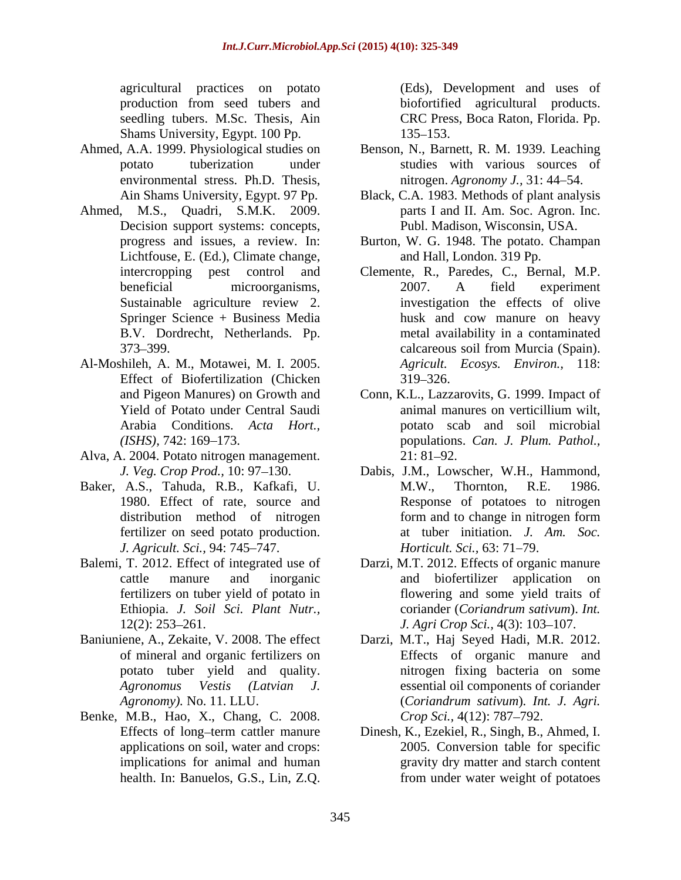agricultural practices on potato seedling tubers. M.Sc. Thesis, Ain CRC Press, Boca Raton, Florida. Pp. Shams University, Egypt. 100 Pp. 135–153.

- Ahmed, A.A. 1999. Physiological studies on environmental stress. Ph.D. Thesis,
- Ahmed, M.S., Quadri, S.M.K. 2009. parts I and II. Am. Soc. Agron. Inc. Decision support systems: concepts, Lichtfouse, E. (Ed.), Climate change,
- Al-Moshileh, A. M., Motawei, M. I. 2005. Effect of Biofertilization (Chicken 319–326.
- Alva, A. 2004. Potato nitrogen management.
- Baker, A.S., Tahuda, R.B., Kafkafi, U. M.W., Thornton, R.E. 1986. *J. Agricult. Sci., 94: 745–747. Horticult. Sci., 63: 71–79.*
- 
- 
- Benke, M.B., Hao, X., Chang, C. 2008. Crop Sci., 4(12): 787–792.<br>Effects of long-term cattler manure Dinesh, K., Ezekiel, R., Singh, B.,

production from seed tubers and (Eds), Development and uses of biofortified agricultural products.<br>CRC Press, Boca Raton, Florida. Pp. 135–153.

- potato tuberization under studies with various sources of Benson, N., Barnett, R. M. 1939. Leaching nitrogen. *Agronomy J.,* 31: 44 54.
- Ain Shams University, Egypt. 97 Pp. Black, C.A. 1983. Methods of plant analysis Publ. Madison, Wisconsin, USA.
- progress and issues, a review. In: Burton, W. G. 1948. The potato. Champan and Hall, London. 319 Pp.
- intercropping pest control and Clemente, R., Paredes, C., Bernal, M.P. beneficial microorganisms, 2007. A field experiment Sustainable agriculture review 2. The investigation the effects of olive Springer Science + Business Media husk and cow manure on heavy B.V. Dordrecht, Netherlands. Pp. metal availability in a contaminated 373–399. calcareous soil from Murcia (Spain). 2007. A field experiment investigation the effects of olive calcareous soil from Murcia (Spain). *Agricult. Ecosys. Environ.,* 118:  $319 - 326.$
- and Pigeon Manures) on Growth and Conn, K.L.,Lazzarovits, G. 1999. Impact of Yield of Potato under Central Saudi Arabia Conditions. *Acta Hort.,* potato scab and soil microbial *(ISHS),* 742: 169 173. populations. *Can. J. Plum. Pathol.,* animal manures on verticillium wilt,  $21: 81 - 92.$
- *J. Veg. Crop Prod.*, 10: 97–130. Dabis, J.M., Lowscher, W.H., Hammond, 1980. Effect of rate, source and Response of potatoes to nitrogen distribution method of nitrogen form and to change in nitrogen form fertilizer on seed potato production. at tuber initiation. *J. Am. Soc.* M.W., Thornton, R.E. 1986. form and to change in nitrogen form *Horticult. Sci., 63: 71–79.*
- Balemi, T. 2012. Effect of integrated use of Darzi, M.T. 2012. Effects of organic manure cattle manure and inorganic and biofertilizer application on fertilizers on tuber yield of potato in flowering and some yield traits of Ethiopia. *J. Soil Sci. Plant Nutr.,* 12(2): 253–261. *J. Agri Crop Sci.*, 4(3): 103–107. coriander (*Coriandrum sativum*). *Int.*
- Baniuniene, A., Zekaite, V. 2008. The effect Darzi, M.T., Haj Seyed Hadi, M.R. 2012. of mineral and organic fertilizers on Effects of organic manure and potato tuber yield and quality. The nitrogen fixing bacteria on some *Agronomus Vestis (Latvian J.* essential oil components of coriander *Agronomy).* No. 11. LLU. (*Coriandrum sativum*)*. Int. J. Agri. Crop Sci.,* 4(12): 787–792.
	- Effects of long-term cattler manure Dinesh, K., Ezekiel, R., Singh, B., Ahmed, I. applications on soil, water and crops: 2005. Conversion table for specific implications for animal and human gravity dry matter and starch content health. In: Banuelos, G.S., Lin, Z.O. from under water weight of potatoes from under water weight of potatoes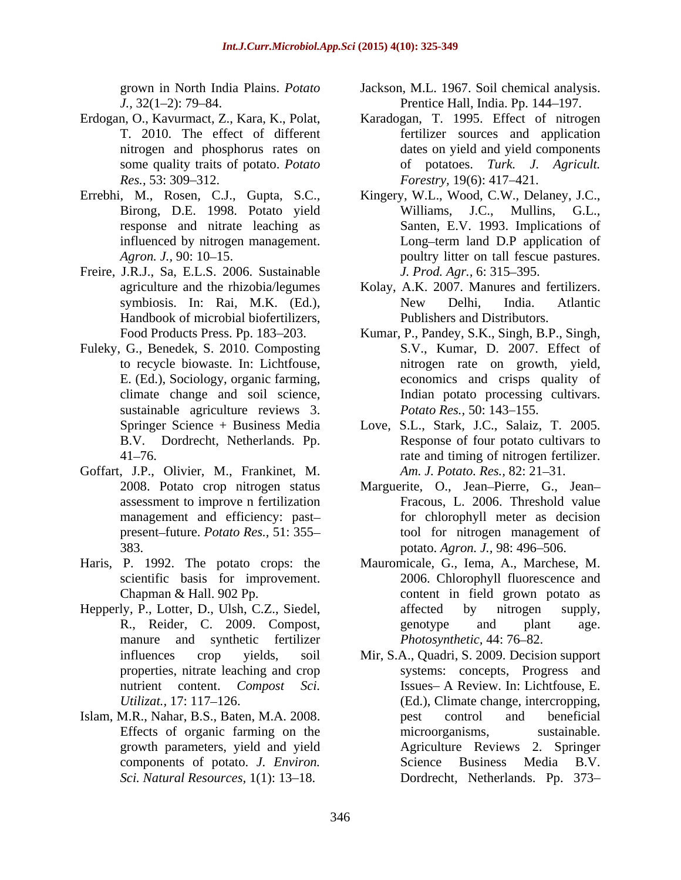- Erdogan, O., Kavurmact, Z., Kara, K., Polat,
- 
- Freire, J.R.J., Sa, E.L.S. 2006. Sustainable *J. Prod. Agr.*, 6: 315–395. Handbook of microbial biofertilizers,
- Fuleky, G., Benedek, S. 2010. Composting sustainable agriculture reviews 3. Potato Res., 50: 143–155.
- Goffart, J.P., Olivier, M., Frankinet, M.
- Haris, P. 1992. The potato crops: the
- manure and synthetic fertilizer
- components of potato. *J. Environ.*
- grown in North India Plains. *Potato*  Jackson, M.L. 1967. Soil chemical analysis. *J.*, 32(1–2): 79–84. **Prentice Hall**, India. Pp. 144–197.
- T. 2010. The effect of different fertilizer sources and application nitrogen and phosphorus rates on dates on yield and yield components some quality traits of potato. *Potato*  of potatoes. *Turk. J. Agricult. Res.*, 53: 309–312. *Forestry,* 19(6): 417–421. Karadogan, T. 1995. Effect of nitrogen *Forestry,* 19(6): 417–421.
- Errebhi, M., Rosen, C.J., Gupta, S.C., Kingery, W.L., Wood, C.W., Delaney, J.C., Birong, D.E. 1998. Potato yield Williams, J.C., Mullins, G.L., response and nitrate leaching as Santen, E.V. 1993. Implications of influenced by nitrogen management. Long-term land D.P application of *Agron. J.*, 90: 10–15. The poultry litter on tall fescue pastures. J.C., Mullins, Long–term land D.P application of *J. Prod. Agr.,* 6: 315–395.
	- agriculture and the rhizobia/legumes Kolay, A.K. 2007. Manures and fertilizers. symbiosis. In: Rai, M.K. (Ed.), New Delhi, India. Atlantic Publishers and Distributors.
	- Food Products Press. Pp. 183–203. Kumar, P., Pandey, S.K., Singh, B.P., Singh, to recycle biowaste. In: Lichtfouse, nitrogen rate on growth, yield, E. (Ed.), Sociology, organic farming, economics and crisps quality of climate change and soil science, Indian potato processing cultivars. S.V., Kumar, D. 2007. Effect of *Potato Res.,* 50: 143–155.
	- Springer Science + Business Media Love, S.L., Stark, J.C., Salaiz, T. 2005. B.V. Dordrecht, Netherlands. Pp. Response of four potato cultivars to 41 76. rate and timing of nitrogen fertilizer. *Am. J. Potato. Res., 82: 21-31.*
	- 2008. Potato crop nitrogen status Marguerite, O., Jean Pierre, G., Jean assessment to improve n fertilization Fracous, L. 2006. Threshold value management and efficiency: past for chlorophyll meter as decision present–future. *Potato Res.*, 51:355– tool for nitrogen management of 383. potato. *Agron. J.,* 98: 496 506.
- scientific basis for improvement. 2006. Chlorophyll fluorescence and Chapman & Hall. 902 Pp. content in field grown potato as Hepperly, P., Lotter, D., Ulsh, C.Z., Siedel, affected by nitrogen supply, R., Reider, C. 2009. Compost, Mauromicale, G., Iema, A., Marchese, M. affected by nitrogen supply, genotype and plant age. *Photosynthetic, 44: 76-82.*
- influences crop yields, soil Mir, S.A., Quadri, S. 2009. Decision support properties, nitrate leaching and crop systems: concepts, Progress and nutrient content. *Compost Sci*. Issues A Review. In: Lichtfouse, E. Utilizat., 17: 117–126. **(Ed.), Climate change, intercropping**, Islam, M.R., Nahar, B.S., Baten, M.A. 2008. Effects of organic farming on the microorganisms, sustainable. growth parameters, yield and yield Agriculture Reviews 2. Springer Sci. Natural Resources, 1(1): 13–18. **Dordrecht**, Netherlands. Pp. 373– pest control and beneficial microorganisms, sustainable. Science Business Media B.V.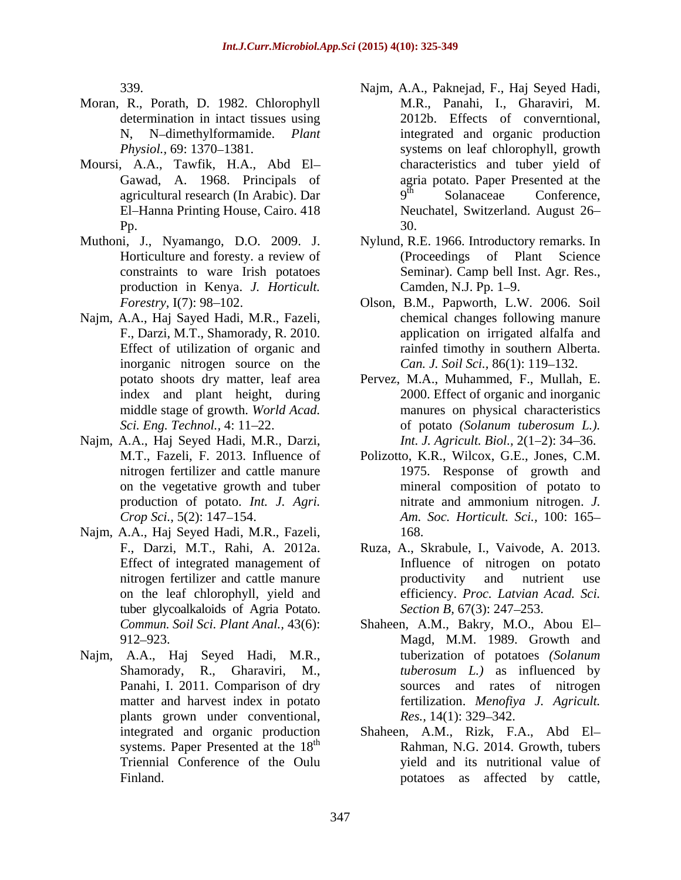- Moran, R., Porath, D. 1982. Chlorophyll
- Moursi, A.A., Tawfik, H.A., Abd El
- production in Kenya. *J. Horticult.*
- Najm, A.A., Haj Sayed Hadi, M.R., Fazeli, inorganic nitrogen source on the middle stage of growth. *World Acad.*
- Najm, A.A., Haj Seyed Hadi, M.R., Darzi,
- Najm, A.A., Haj Seyed Hadi, M.R., Fazeli, tuber glycoalkaloids of Agria Potato. *Section B*, 67(3): 247–253.
- Najm, A.A., Haj Seyed Hadi, M.R., plants grown under conventional, Res., 14(1): 329–342. systems. Paper Presented at the 18<sup>th</sup>
- 339. Najm, A.A., Paknejad, F., Haj Seyed Hadi, determination in intact tissues using 2012b. Effects of converntional, N, N-dimethylformamide. *Plant* integrated and organic production *Physiol.*, 69: 1370–1381. Systems on leaf chlorophyll, growth Gawad, A. 1968. Principals of agria potato. Paper Presented at the agricultural research (In Arabic). Dar  $9^{\text{th}}$  Solanaceae Conference, El-Hanna Printing House, Cairo. 418 Meuchatel, Switzerland. August 26– **Pp.** 30. M.R., Panahi, I., Gharaviri, M. 2012b. Effects of converntional,<br>integrated and organic production characteristics and tuber yield of 9<sup>th</sup> Solanaceae Conference, th Solanaceae Conference, 30.
- Muthoni, J., Nyamango, D.O. 2009. J. Nylund, R.E. 1966. Introductory remarks. In Horticulture and foresty. a review of (Proceedings of Plant Science constraints to ware Irish potatoes Seminar). Camp bell Inst. Agr. Res., Camden, N.J. Pp. 1–9.
	- *Forestry,* I(7): 98 102. Olson, B.M., Papworth, L.W. 2006. Soil F., Darzi, M.T., Shamorady, R. 2010. application on irrigated alfalfa and Effect of utilization of organic and rainfed timothy in southern Alberta. chemical changes following manure *Can. J. Soil Sci., 86(1): 119-132.*
	- potato shoots dry matter, leaf area Pervez, M.A., Muhammed, F., Mullah, E. index and plant height, during 2000. Effect of organic and inorganic *Sci. Eng. Technol.,* 4: 11 22. of potato *(Solanum tuberosum L.).* manures on physical characteristics *Int. J. Agricult. Biol., 2(1–2): 34–36.*
	- M.T., Fazeli, F. 2013. Influence of Polizotto, K.R., Wilcox, G.E., Jones, C.M. nitrogen fertilizer and cattle manure 1975. Response of growth and on the vegetative growth and tuber mineral composition of potato to production of potato. *Int. J. Agri. Crop Sci.,* 5(2): 147 154. *Am. Soc. Horticult. Sci.,* 100: 165 nitrate and ammonium nitrogen. *J.*  168.
	- F., Darzi, M.T., Rahi, A. 2012a. Ruza, A., Skrabule, I., Vaivode, A. 2013. Effect of integrated management of Influence of nitrogen on potato nitrogen fertilizer and cattle manure **network** productivity and nutrient use on the leaf chlorophyll, yield and efficiency. *Proc. Latvian Acad. Sci.* productivity and nutrient use *Section B, 67(3): 247–253.*
	- *Commun. Soil Sci. Plant Anal.,* 43(6): Shaheen, A.M., Bakry, M.O., Abou El 912 923. Magd, M.M. 1989. Growth and Shamorady, R., Gharaviri, M., *tuberosum L.)* as influenced by Panahi, I. 2011. Comparison of dry sources and rates of nitrogen matter and harvest index in potato fertilization. *Menofiya J. Agricult.* tuberization of potatoes *(Solanum Res.,* 14(1): 329–342.
	- integrated and organic production Shaheen, A.M., Rizk, F.A., Abd El th Rahman, N.G. 2014. Growth, tubers Triennial Conference of the Oulu yield and its nutritional value of Finland. potatoes as affected by cattle,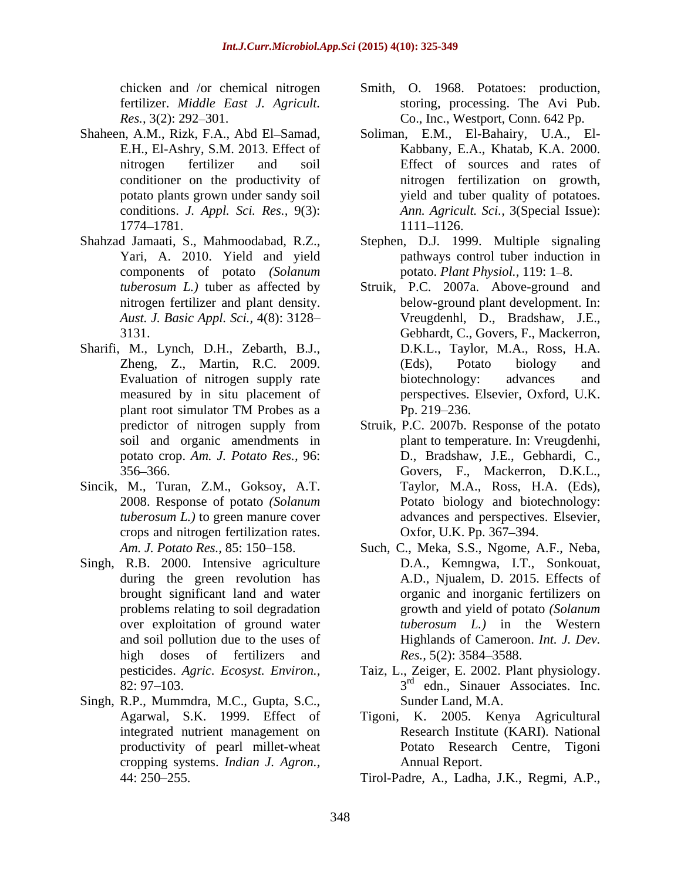- 
- Shahzad Jamaati, S., Mahmoodabad, R.Z., Stephen, D.J. 1999. Multiple signaling components of potato *(Solanum*
- Sharifi, M., Lynch, D.H., Zebarth, B.J.,
- Sincik, M., Turan, Z.M., Goksoy, A.T. crops and nitrogen fertilization rates. 0xfor, U.K. Pp. 367–394.
- Singh, R.B. 2000. Intensive agriculture high doses of fertilizers and Res., 5(2): 3584–3588.
- Singh, R.P., Mummdra, M.C., Gupta, S.C., cropping systems. *Indian J. Agron.,*
- chicken and /or chemical nitrogen Smith, O. 1968. Potatoes: production, fertilizer. *Middle East J. Agricult.* storing, processing. The Avi Pub. *Res.*, 3(2): 292–301. Co., Inc., Westport, Conn. 642 Pp.
- Shaheen, A.M., Rizk, F.A., Abd El-Samad, Soliman, E.M., El-Bahairy, U.A., El-E.H., El-Ashry, S.M. 2013. Effect of Kabbany, E.A., Khatab, K.A. 2000. nitrogen fertilizer and soil Effect of sources and rates of conditioner on the productivity of nitrogen fertilization on growth, potato plants grown under sandy soil strategies by yield and tuber quality of potatoes. conditions. *J. Appl. Sci. Res.,* 9(3): *Ann. Agricult. Sci.,* 3(Special Issue): 1774–1781. 1111–1126. 1111 1126.
	- Yari, A. 2010. Yield and yield pathways control tuber induction in potato. *Plant Physiol.*, 119: 1–8.
	- *tuberosum L.)* tuber as affected by Struik, P.C. 2007a. Above-ground and nitrogen fertilizer and plant density. below-ground plant development. In: *Aust. J. Basic Appl. Sci.,* 4(8): 3128 Vreugdenhl, D., Bradshaw, J.E., 3131. Gebhardt, C., Govers, F., Mackerron, Zheng, Z., Martin, R.C. 2009. (Eds), Potato biology and Evaluation of nitrogen supply rate biotechnology: advances and measured by in situ placement of perspectives. Elsevier, Oxford, U.K. plant root simulator TM Probes as a  $\qquad \qquad$  Pp. 219–236. D.K.L., Taylor, M.A., Ross, H.A. (Eds), Potato biology and biotechnology: advances and Pp. 219–236.
	- predictor of nitrogen supply from Struik, P.C. 2007b. Response of the potato soil and organic amendments in plant to temperature. In: Vreugdenhi, potato crop. *Am. J. Potato Res.,* 96: D., Bradshaw, J.E., Gebhardi, C., 356 366. Govers, F., Mackerron, D.K.L., 2008. Response of potato *(Solanum*  Potato biology and biotechnology: *tuberosum L.)* to green manure cover advances and perspectives. Elsevier, Taylor, M.A., Ross, H.A. (Eds), Oxfor, U.K. Pp. 367–394.
	- *Am. J. Potato Res.,* 85: 150 158. Such, C., Meka, S.S., Ngome, A.F., Neba, during the green revolution has A.D., Njualem, D. 2015. Effects of brought significant land and water organic and inorganic fertilizers on problems relating to soil degradation growth and yield of potato *(Solanum*  over exploitation of ground water tuberosum L.) in the Western and soil pollution due to the uses of Highlands of Cameroon. *Int. J. Dev.* D.A., Kemngwa, I.T., Sonkouat, *tuberosum L.)* in the Western *Res.*, 5(2): 3584–3588.
	- pesticides. *Agric. Ecosyst. Environ.,* Taiz, L., Zeiger, E. 2002. Plant physiology.  $82: 97-103$ .  $3^{rd}$  edn., Sinauer Associates. Inc. Sunder Land, M.A.
	- Agarwal, S.K. 1999. Effect of Tigoni, K. 2005. Kenya Agricultural integrated nutrient management on Research Institute (KARI). National productivity of pearl millet-wheat Potato Research Centre, Tigoni Annual Report.
	- 44: 250 255. Tirol-Padre, A., Ladha, J.K., Regmi, A.P.,